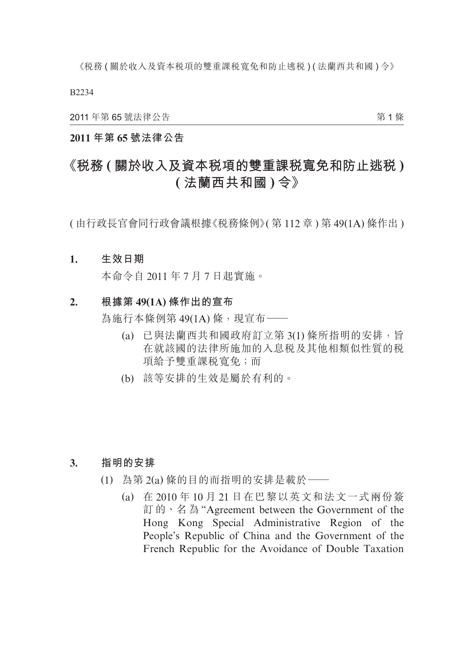B2234

2011 年第 65 號法律公告

第 1 條

## **2011 年第 65 號法律公告**

# **《稅務 ( 關於收入及資本稅項的雙重課稅寬免和防止逃稅 ) ( 法蘭西共和國 ) 令》**

( 由行政長官會同行政會議根據《稅務條例》( 第 112 章 ) 第 49(1A) 條作出 )

#### **1. 生效日期**

本命令自 2011 年 7 月 7 日起實施。

## **2. 根據第 49(1A) 條作出的宣布**

為施行本條例第 49(1A) 條, 現宣布––

- (a) 已與法蘭西共和國政府訂立第 3(1) 條所指明的安排,旨 在就該國的法律所施加的入息稅及其他相類似性質的稅 項給予雙重課稅寬免;而
- (b) 該等安排的生效是屬於有利的。

#### **3. 指明的安排**

- (1) 為第 2(a) 條的目的而指明的安排是載於——
	- (a) 在 2010 年 10 月 21 日在巴黎以英文和法文一式兩份簽 訂 的、名 為 "Agreement between the Government of the Hong Kong Special Administrative Region of the People's Republic of China and the Government of the French Republic for the Avoidance of Double Taxation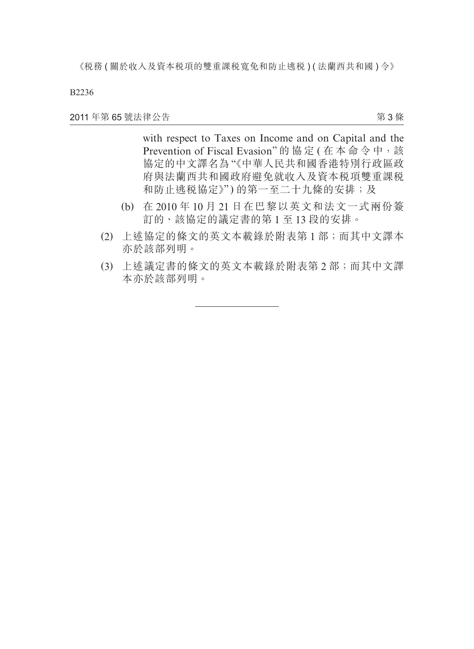B2236

2011 年第 65 號法律公告

第 3 條

 with respect to Taxes on Income and on Capital and the Prevention of Fiscal Evasion"的協定 (在本命令中,該 協定的中文譯名為"《中華人民共和國香港特別行政區政 府與法蘭西共和國政府避免就收入及資本稅項雙重課稅 和防止逃税協定》")的第一至二十九條的安排;及

- (b) 在 2010 年 10 月 21 日在巴黎以英文和法文一式兩份簽 訂的、該協定的議定書的第 1 至 13 段的安排。
- (2) 上述協定的條文的英文本載錄於附表第 1 部;而其中文譯本 亦於該部列明。
- (3) 上述議定書的條文的英文本載錄於附表第 2 部;而其中文譯 本亦於該部列明。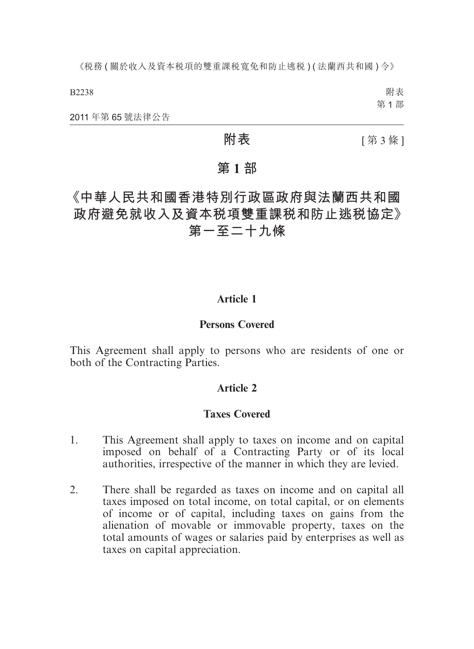B2238

附表 第 1 部

2011 年第 65 號法律公告

**附表 [第3條]** 

## **第 1 部**

# **《中華人民共和國香港特別行政區政府與法蘭西共和國 政府避免就收入及資本稅項雙重課稅和防止逃稅協定》 第一至二十九條**

## **Article 1**

## **Persons Covered**

This Agreement shall apply to persons who are residents of one or both of the Contracting Parties.

## **Article 2**

## **Taxes Covered**

- 1. This Agreement shall apply to taxes on income and on capital imposed on behalf of a Contracting Party or of its local authorities, irrespective of the manner in which they are levied.
- 2. There shall be regarded as taxes on income and on capital all taxes imposed on total income, on total capital, or on elements of income or of capital, including taxes on gains from the alienation of movable or immovable property, taxes on the total amounts of wages or salaries paid by enterprises as well as taxes on capital appreciation.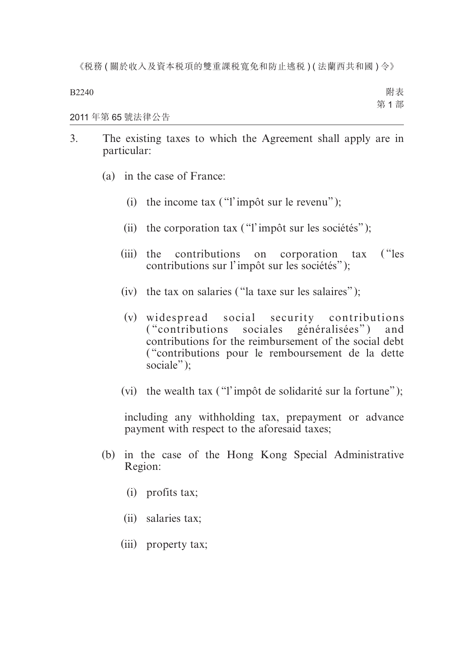B2240

附表 第 1 部

2011 年第 65 號法律公告

- 3. The existing taxes to which the Agreement shall apply are in particular:
	- (a) in the case of France:
		- (i) the income tax  $("l'impôt sur le revenu")$ ;
		- (ii) the corporation tax ("l'impôt sur les sociétés");
		- (iii) the contributions on corporation tax ("les contributions sur l'impôt sur les sociétés" );
		- (iv) the tax on salaries ("la taxe sur les salaires");
		- (v) widespread social security contributions ("contributions sociales généralisées") and contributions for the reimbursement of the social debt ( "contributions pour le remboursement de la dette sociale"):
		- (vi) the wealth tax ("l'impôt de solidarité sur la fortune");

including any withholding tax, prepayment or advance payment with respect to the aforesaid taxes;

- (b) in the case of the Hong Kong Special Administrative Region:
	- (i) profits tax;
	- (ii) salaries tax;
	- (iii) property tax;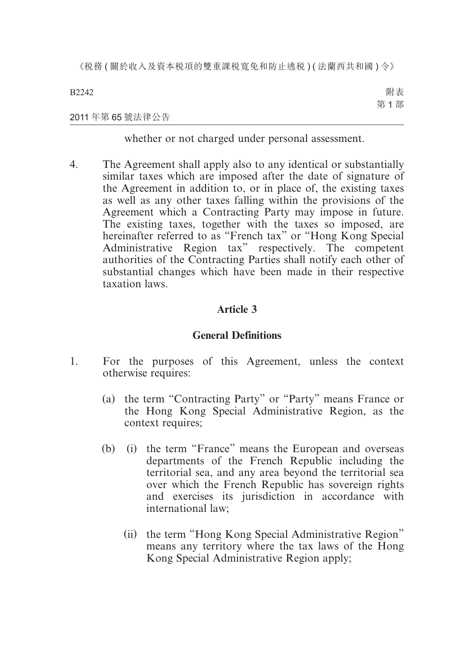B2242 附表 第 1 部

## 2011 年第 65 號法律公告

whether or not charged under personal assessment.

4. The Agreement shall apply also to any identical or substantially similar taxes which are imposed after the date of signature of the Agreement in addition to, or in place of, the existing taxes as well as any other taxes falling within the provisions of the Agreement which a Contracting Party may impose in future. The existing taxes, together with the taxes so imposed, are hereinafter referred to as "French tax" or "Hong Kong Special Administrative Region tax" respectively. The competent authorities of the Contracting Parties shall notify each other of substantial changes which have been made in their respective taxation laws.

## **Article 3**

## **General Definitions**

- 1. For the purposes of this Agreement, unless the context otherwise requires:
	- (a) the term "Contracting Party" or "Party" means France or the Hong Kong Special Administrative Region, as the context requires;
	- (b) (i) the term "France" means the European and overseas departments of the French Republic including the territorial sea, and any area beyond the territorial sea over which the French Republic has sovereign rights and exercises its jurisdiction in accordance with international law;
		- (ii) the term "Hong Kong Special Administrative Region" means any territory where the tax laws of the Hong Kong Special Administrative Region apply;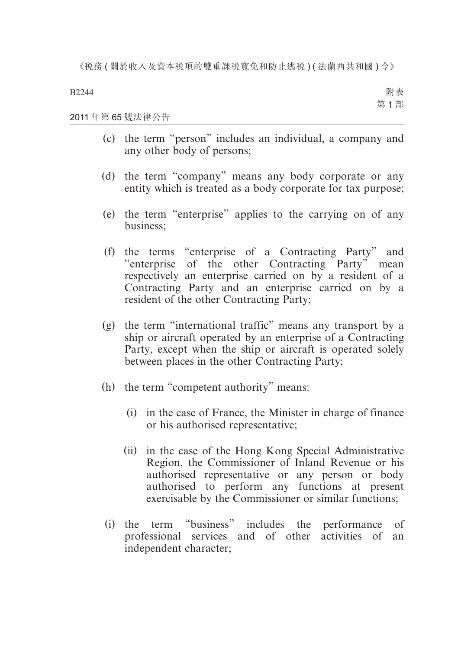B2244

附表 第 1 部

#### 2011 年第 65 號法律公告

- (c) the term "person" includes an individual, a company and any other body of persons;
- (d) the term "company" means any body corporate or any entity which is treated as a body corporate for tax purpose;
- (e) the term "enterprise" applies to the carrying on of any business;
- (f) the terms "enterprise of a Contracting Party" and "enterprise of the other Contracting Party" mean respectively an enterprise carried on by a resident of a Contracting Party and an enterprise carried on by a resident of the other Contracting Party;
- (g) the term "international traffic" means any transport by a ship or aircraft operated by an enterprise of a Contracting Party, except when the ship or aircraft is operated solely between places in the other Contracting Party;
- (h) the term "competent authority" means:
	- (i) in the case of France, the Minister in charge of finance or his authorised representative;
	- (ii) in the case of the Hong Kong Special Administrative Region, the Commissioner of Inland Revenue or his authorised representative or any person or body authorised to perform any functions at present exercisable by the Commissioner or similar functions;
- (i) the term "business" includes the performance of professional services and of other activities of an independent character;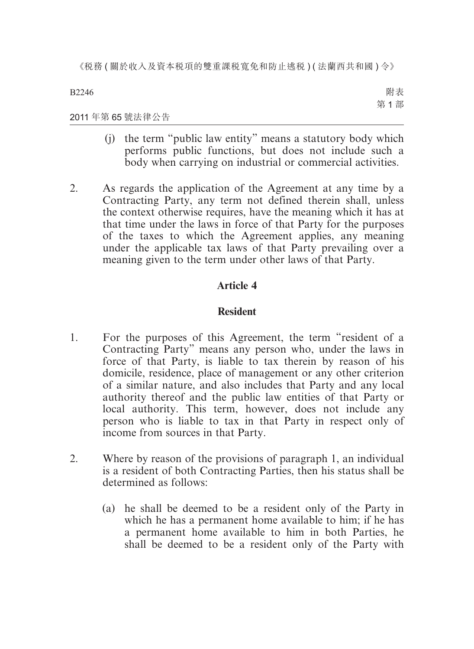B2246

附表 第 1 部

#### 2011 年第 65 號法律公告

- (j) the term "public law entity" means a statutory body which performs public functions, but does not include such a body when carrying on industrial or commercial activities.
- 2. As regards the application of the Agreement at any time by a Contracting Party, any term not defined therein shall, unless the context otherwise requires, have the meaning which it has at that time under the laws in force of that Party for the purposes of the taxes to which the Agreement applies, any meaning under the applicable tax laws of that Party prevailing over a meaning given to the term under other laws of that Party.

## **Article 4**

## **Resident**

- 1. For the purposes of this Agreement, the term "resident of a Contracting Party" means any person who, under the laws in force of that Party, is liable to tax therein by reason of his domicile, residence, place of management or any other criterion of a similar nature, and also includes that Party and any local authority thereof and the public law entities of that Party or local authority. This term, however, does not include any person who is liable to tax in that Party in respect only of income from sources in that Party.
- 2. Where by reason of the provisions of paragraph 1, an individual is a resident of both Contracting Parties, then his status shall be determined as follows:
	- (a) he shall be deemed to be a resident only of the Party in which he has a permanent home available to him; if he has a permanent home available to him in both Parties, he shall be deemed to be a resident only of the Party with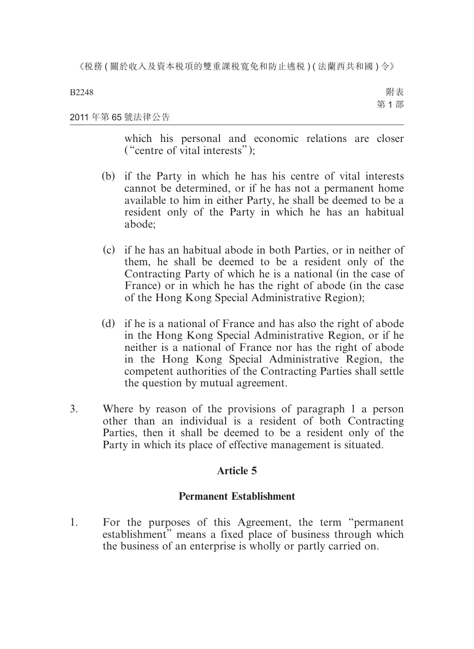2011 年第 65 號法律公告 附表 第 1 部

> which his personal and economic relations are closer ( "centre of vital interests" );

- (b) if the Party in which he has his centre of vital interests cannot be determined, or if he has not a permanent home available to him in either Party, he shall be deemed to be a resident only of the Party in which he has an habitual abode;
- (c) if he has an habitual abode in both Parties, or in neither of them, he shall be deemed to be a resident only of the Contracting Party of which he is a national (in the case of France) or in which he has the right of abode (in the case of the Hong Kong Special Administrative Region);
- (d) if he is a national of France and has also the right of abode in the Hong Kong Special Administrative Region, or if he neither is a national of France nor has the right of abode in the Hong Kong Special Administrative Region, the competent authorities of the Contracting Parties shall settle the question by mutual agreement.
- 3. Where by reason of the provisions of paragraph 1 a person other than an individual is a resident of both Contracting Parties, then it shall be deemed to be a resident only of the Party in which its place of effective management is situated.

## **Article 5**

## **Permanent Establishment**

1. For the purposes of this Agreement, the term "permanent establishment" means a fixed place of business through which the business of an enterprise is wholly or partly carried on.

#### B2248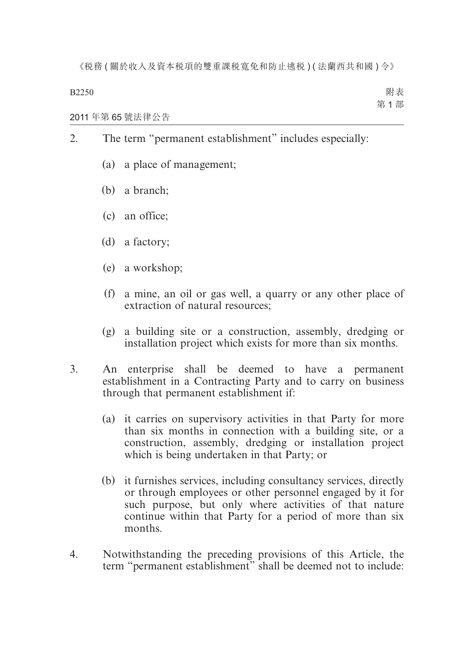B2250

2011 年第 65 號法律公告

- 2. The term "permanent establishment" includes especially:
	- (a) a place of management;
	- (b) a branch;
	- (c) an office;
	- (d) a factory;
	- (e) a workshop;
	- (f) a mine, an oil or gas well, a quarry or any other place of extraction of natural resources;
	- (g) a building site or a construction, assembly, dredging or installation project which exists for more than six months.
- 3. An enterprise shall be deemed to have a permanent establishment in a Contracting Party and to carry on business through that permanent establishment if:
	- (a) it carries on supervisory activities in that Party for more than six months in connection with a building site, or a construction, assembly, dredging or installation project which is being undertaken in that Party; or
	- (b) it furnishes services, including consultancy services, directly or through employees or other personnel engaged by it for such purpose, but only where activities of that nature continue within that Party for a period of more than six months.
- 4. Notwithstanding the preceding provisions of this Article, the term "permanent establishment" shall be deemed not to include: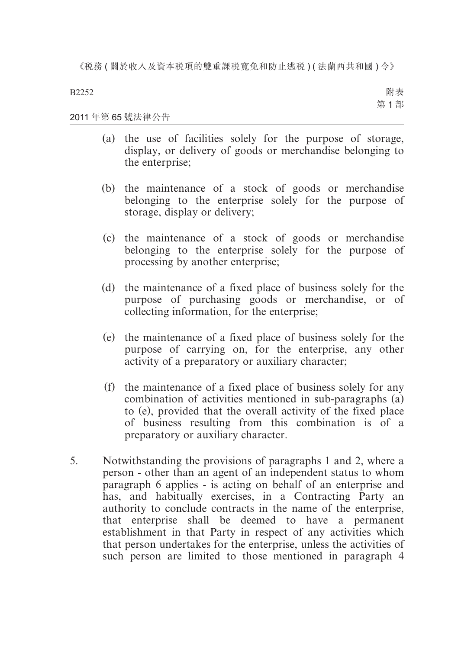B2252

附表 第 1 部

#### 2011 年第 65 號法律公告

- (a) the use of facilities solely for the purpose of storage, display, or delivery of goods or merchandise belonging to the enterprise;
- (b) the maintenance of a stock of goods or merchandise belonging to the enterprise solely for the purpose of storage, display or delivery;
- (c) the maintenance of a stock of goods or merchandise belonging to the enterprise solely for the purpose of processing by another enterprise;
- (d) the maintenance of a fixed place of business solely for the purpose of purchasing goods or merchandise, or of collecting information, for the enterprise;
- (e) the maintenance of a fixed place of business solely for the purpose of carrying on, for the enterprise, any other activity of a preparatory or auxiliary character;
- (f) the maintenance of a fixed place of business solely for any combination of activities mentioned in sub-paragraphs (a) to (e), provided that the overall activity of the fixed place of business resulting from this combination is of a preparatory or auxiliary character.
- 5. Notwithstanding the provisions of paragraphs 1 and 2, where a person - other than an agent of an independent status to whom paragraph 6 applies - is acting on behalf of an enterprise and has, and habitually exercises, in a Contracting Party an authority to conclude contracts in the name of the enterprise, that enterprise shall be deemed to have a permanent establishment in that Party in respect of any activities which that person undertakes for the enterprise, unless the activities of such person are limited to those mentioned in paragraph 4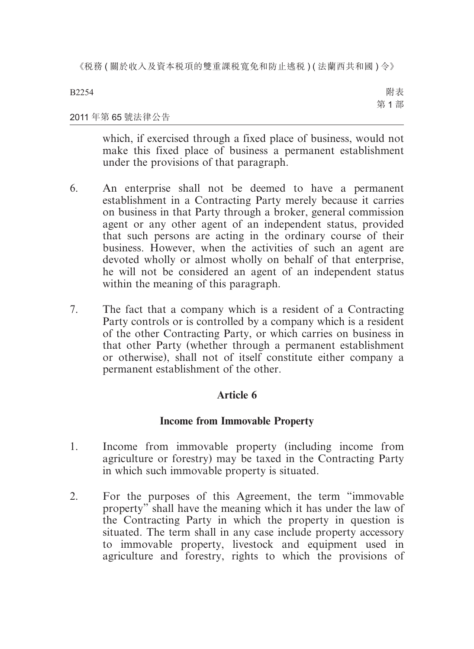B2254

附表 第 1 部

## 2011 年第 65 號法律公告

which, if exercised through a fixed place of business, would not make this fixed place of business a permanent establishment under the provisions of that paragraph.

- 6. An enterprise shall not be deemed to have a permanent establishment in a Contracting Party merely because it carries on business in that Party through a broker, general commission agent or any other agent of an independent status, provided that such persons are acting in the ordinary course of their business. However, when the activities of such an agent are devoted wholly or almost wholly on behalf of that enterprise, he will not be considered an agent of an independent status within the meaning of this paragraph.
- 7. The fact that a company which is a resident of a Contracting Party controls or is controlled by a company which is a resident of the other Contracting Party, or which carries on business in that other Party (whether through a permanent establishment or otherwise), shall not of itself constitute either company a permanent establishment of the other.

## **Article 6**

## **Income from Immovable Property**

- 1. Income from immovable property (including income from agriculture or forestry) may be taxed in the Contracting Party in which such immovable property is situated.
- 2. For the purposes of this Agreement, the term "immovable property" shall have the meaning which it has under the law of the Contracting Party in which the property in question is situated. The term shall in any case include property accessory to immovable property, livestock and equipment used in agriculture and forestry, rights to which the provisions of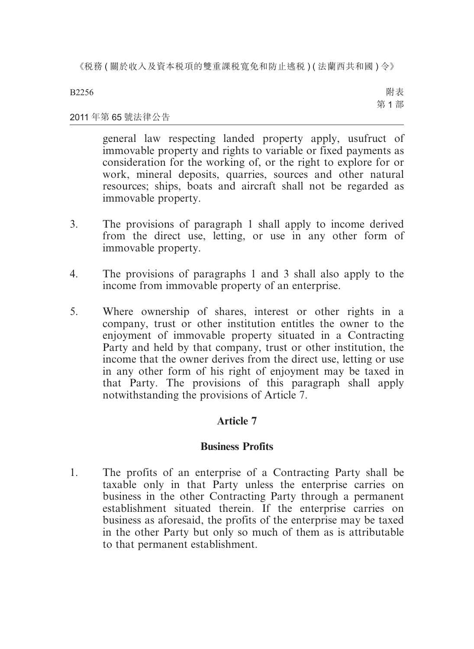B2256

附表 第 1 部

## 2011 年第 65 號法律公告

general law respecting landed property apply, usufruct of immovable property and rights to variable or fixed payments as consideration for the working of, or the right to explore for or work, mineral deposits, quarries, sources and other natural resources; ships, boats and aircraft shall not be regarded as immovable property.

- 3. The provisions of paragraph 1 shall apply to income derived from the direct use, letting, or use in any other form of immovable property.
- 4. The provisions of paragraphs 1 and 3 shall also apply to the income from immovable property of an enterprise.
- 5. Where ownership of shares, interest or other rights in a company, trust or other institution entitles the owner to the enjoyment of immovable property situated in a Contracting Party and held by that company, trust or other institution, the income that the owner derives from the direct use, letting or use in any other form of his right of enjoyment may be taxed in that Party. The provisions of this paragraph shall apply notwithstanding the provisions of Article 7.

## **Article 7**

## **Business Profits**

1. The profits of an enterprise of a Contracting Party shall be taxable only in that Party unless the enterprise carries on business in the other Contracting Party through a permanent establishment situated therein. If the enterprise carries on business as aforesaid, the profits of the enterprise may be taxed in the other Party but only so much of them as is attributable to that permanent establishment.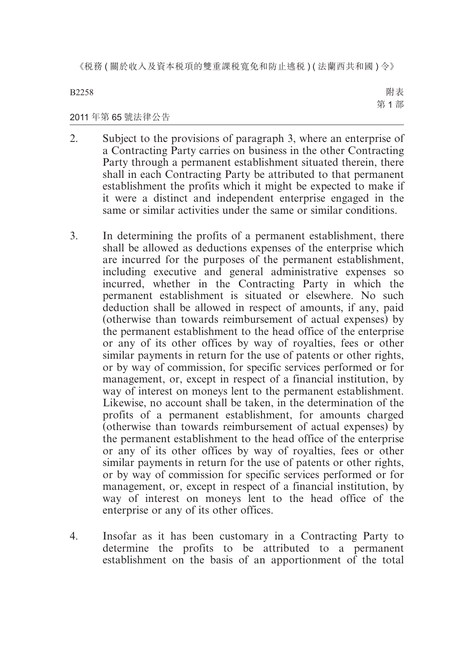B2258

附表 第 1 部

## 2011 年第 65 號法律公告

- 2. Subject to the provisions of paragraph 3, where an enterprise of a Contracting Party carries on business in the other Contracting Party through a permanent establishment situated therein, there shall in each Contracting Party be attributed to that permanent establishment the profits which it might be expected to make if it were a distinct and independent enterprise engaged in the same or similar activities under the same or similar conditions.
- 3. In determining the profits of a permanent establishment, there shall be allowed as deductions expenses of the enterprise which are incurred for the purposes of the permanent establishment, including executive and general administrative expenses so incurred, whether in the Contracting Party in which the permanent establishment is situated or elsewhere. No such deduction shall be allowed in respect of amounts, if any, paid (otherwise than towards reimbursement of actual expenses) by the permanent establishment to the head office of the enterprise or any of its other offices by way of royalties, fees or other similar payments in return for the use of patents or other rights, or by way of commission, for specific services performed or for management, or, except in respect of a financial institution, by way of interest on moneys lent to the permanent establishment. Likewise, no account shall be taken, in the determination of the profits of a permanent establishment, for amounts charged (otherwise than towards reimbursement of actual expenses) by the permanent establishment to the head office of the enterprise or any of its other offices by way of royalties, fees or other similar payments in return for the use of patents or other rights, or by way of commission for specific services performed or for management, or, except in respect of a financial institution, by way of interest on moneys lent to the head office of the enterprise or any of its other offices.
- 4. Insofar as it has been customary in a Contracting Party to determine the profits to be attributed to a permanent establishment on the basis of an apportionment of the total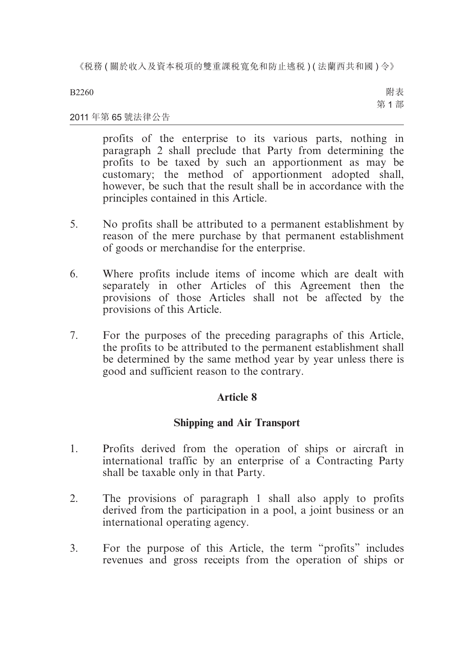B2260

附表 第 1 部

## 2011 年第 65 號法律公告

profits of the enterprise to its various parts, nothing in paragraph 2 shall preclude that Party from determining the profits to be taxed by such an apportionment as may be customary; the method of apportionment adopted shall, however, be such that the result shall be in accordance with the principles contained in this Article.

- 5. No profits shall be attributed to a permanent establishment by reason of the mere purchase by that permanent establishment of goods or merchandise for the enterprise.
- 6. Where profits include items of income which are dealt with separately in other Articles of this Agreement then the provisions of those Articles shall not be affected by the provisions of this Article.
- 7. For the purposes of the preceding paragraphs of this Article, the profits to be attributed to the permanent establishment shall be determined by the same method year by year unless there is good and sufficient reason to the contrary.

## **Article 8**

## **Shipping and Air Transport**

- 1. Profits derived from the operation of ships or aircraft in international traffic by an enterprise of a Contracting Party shall be taxable only in that Party.
- 2. The provisions of paragraph 1 shall also apply to profits derived from the participation in a pool, a joint business or an international operating agency.
- 3. For the purpose of this Article, the term "profits" includes revenues and gross receipts from the operation of ships or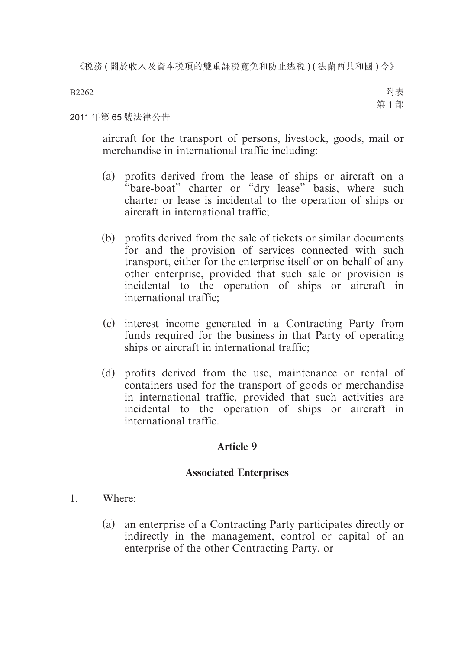B2262

附表 第 1 部

## 2011 年第 65 號法律公告

aircraft for the transport of persons, livestock, goods, mail or merchandise in international traffic including:

- (a) profits derived from the lease of ships or aircraft on a "bare-boat" charter or "dry lease" basis, where such charter or lease is incidental to the operation of ships or aircraft in international traffic;
- (b) profits derived from the sale of tickets or similar documents for and the provision of services connected with such transport, either for the enterprise itself or on behalf of any other enterprise, provided that such sale or provision is incidental to the operation of ships or aircraft in international traffic;
- (c) interest income generated in a Contracting Party from funds required for the business in that Party of operating ships or aircraft in international traffic;
- (d) profits derived from the use, maintenance or rental of containers used for the transport of goods or merchandise in international traffic, provided that such activities are incidental to the operation of ships or aircraft in international traffic.

## **Article 9**

## **Associated Enterprises**

- 1. Where:
	- (a) an enterprise of a Contracting Party participates directly or indirectly in the management, control or capital of an enterprise of the other Contracting Party, or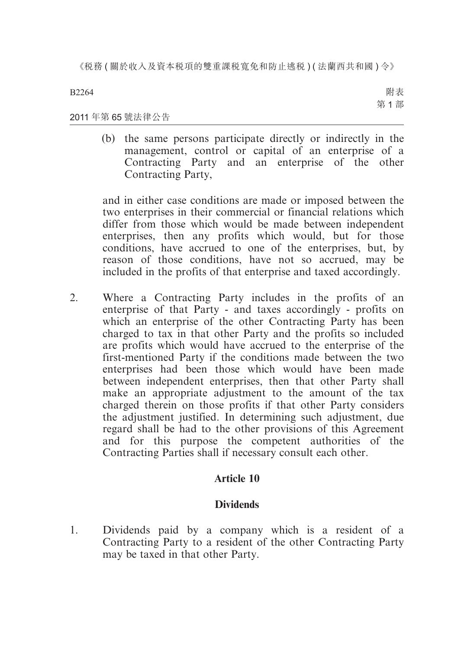B2264

附表 第 1 部

2011 年第 65 號法律公告

(b) the same persons participate directly or indirectly in the management, control or capital of an enterprise of a Contracting Party and an enterprise of the other Contracting Party,

and in either case conditions are made or imposed between the two enterprises in their commercial or financial relations which differ from those which would be made between independent enterprises, then any profits which would, but for those conditions, have accrued to one of the enterprises, but, by reason of those conditions, have not so accrued, may be included in the profits of that enterprise and taxed accordingly.

2. Where a Contracting Party includes in the profits of an enterprise of that Party - and taxes accordingly - profits on which an enterprise of the other Contracting Party has been charged to tax in that other Party and the profits so included are profits which would have accrued to the enterprise of the first-mentioned Party if the conditions made between the two enterprises had been those which would have been made between independent enterprises, then that other Party shall make an appropriate adjustment to the amount of the tax charged therein on those profits if that other Party considers the adjustment justified. In determining such adjustment, due regard shall be had to the other provisions of this Agreement and for this purpose the competent authorities of the Contracting Parties shall if necessary consult each other.

## **Article 10**

## **Dividends**

1. Dividends paid by a company which is a resident of a Contracting Party to a resident of the other Contracting Party may be taxed in that other Party.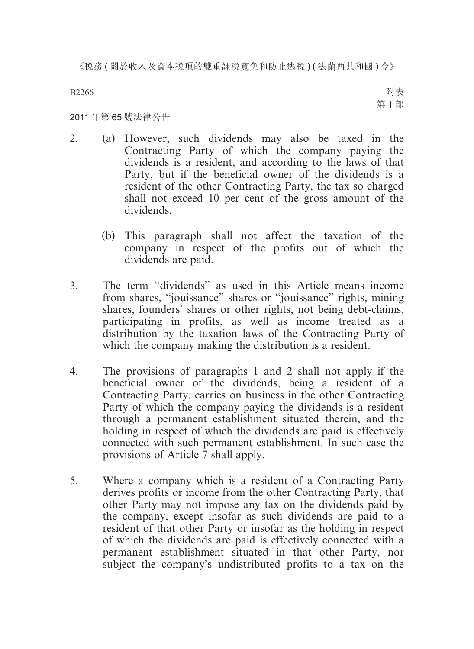B2266

附表 第 1 部

#### 2011 年第 65 號法律公告

- 2. (a) However, such dividends may also be taxed in the Contracting Party of which the company paying the dividends is a resident, and according to the laws of that Party, but if the beneficial owner of the dividends is a resident of the other Contracting Party, the tax so charged shall not exceed 10 per cent of the gross amount of the dividends.
	- (b) This paragraph shall not affect the taxation of the company in respect of the profits out of which the dividends are paid.
- 3. The term "dividends" as used in this Article means income from shares, "jouissance" shares or "jouissance" rights, mining shares, founders' shares or other rights, not being debt-claims, participating in profits, as well as income treated as a distribution by the taxation laws of the Contracting Party of which the company making the distribution is a resident.
- 4. The provisions of paragraphs 1 and 2 shall not apply if the beneficial owner of the dividends, being a resident of a Contracting Party, carries on business in the other Contracting Party of which the company paying the dividends is a resident through a permanent establishment situated therein, and the holding in respect of which the dividends are paid is effectively connected with such permanent establishment. In such case the provisions of Article 7 shall apply.
- 5. Where a company which is a resident of a Contracting Party derives profits or income from the other Contracting Party, that other Party may not impose any tax on the dividends paid by the company, except insofar as such dividends are paid to a resident of that other Party or insofar as the holding in respect of which the dividends are paid is effectively connected with a permanent establishment situated in that other Party, nor subject the company's undistributed profits to a tax on the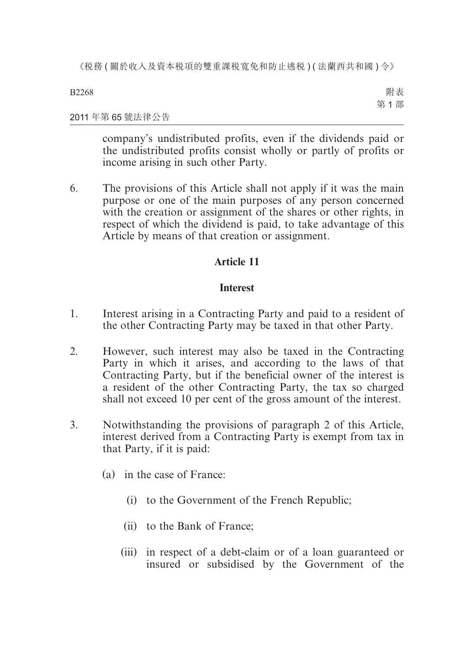B2268

附表 第 1 部

### 2011 年第 65 號法律公告

company's undistributed profits, even if the dividends paid or the undistributed profits consist wholly or partly of profits or income arising in such other Party.

6. The provisions of this Article shall not apply if it was the main purpose or one of the main purposes of any person concerned with the creation or assignment of the shares or other rights, in respect of which the dividend is paid, to take advantage of this Article by means of that creation or assignment.

## **Article 11**

## **Interest**

- 1. Interest arising in a Contracting Party and paid to a resident of the other Contracting Party may be taxed in that other Party.
- 2. However, such interest may also be taxed in the Contracting Party in which it arises, and according to the laws of that Contracting Party, but if the beneficial owner of the interest is a resident of the other Contracting Party, the tax so charged shall not exceed 10 per cent of the gross amount of the interest.
- 3. Notwithstanding the provisions of paragraph 2 of this Article, interest derived from a Contracting Party is exempt from tax in that Party, if it is paid:
	- (a) in the case of France:
		- (i) to the Government of the French Republic;
		- (ii) to the Bank of France;
		- (iii) in respect of a debt-claim or of a loan guaranteed or insured or subsidised by the Government of the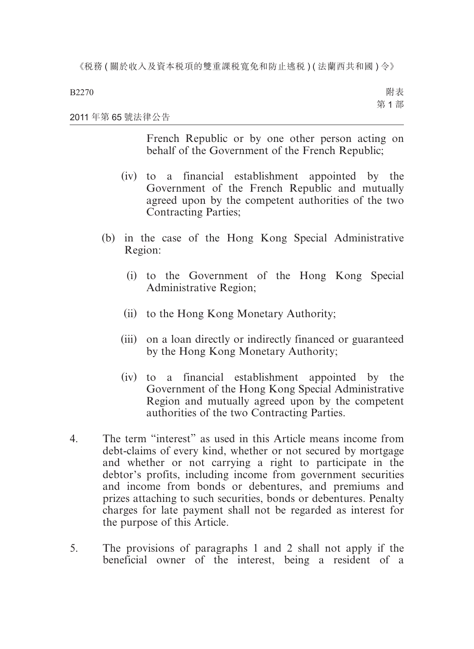B2270

附表 第 1 部

### 2011 年第 65 號法律公告

French Republic or by one other person acting on behalf of the Government of the French Republic;

- (iv) to a financial establishment appointed by the Government of the French Republic and mutually agreed upon by the competent authorities of the two Contracting Parties;
- (b) in the case of the Hong Kong Special Administrative Region:
	- (i) to the Government of the Hong Kong Special Administrative Region;
	- (ii) to the Hong Kong Monetary Authority;
	- (iii) on a loan directly or indirectly financed or guaranteed by the Hong Kong Monetary Authority;
	- (iv) to a financial establishment appointed by the Government of the Hong Kong Special Administrative Region and mutually agreed upon by the competent authorities of the two Contracting Parties.
- 4. The term "interest" as used in this Article means income from debt-claims of every kind, whether or not secured by mortgage and whether or not carrying a right to participate in the debtor's profits, including income from government securities and income from bonds or debentures, and premiums and prizes attaching to such securities, bonds or debentures. Penalty charges for late payment shall not be regarded as interest for the purpose of this Article.
- 5. The provisions of paragraphs 1 and 2 shall not apply if the beneficial owner of the interest, being a resident of a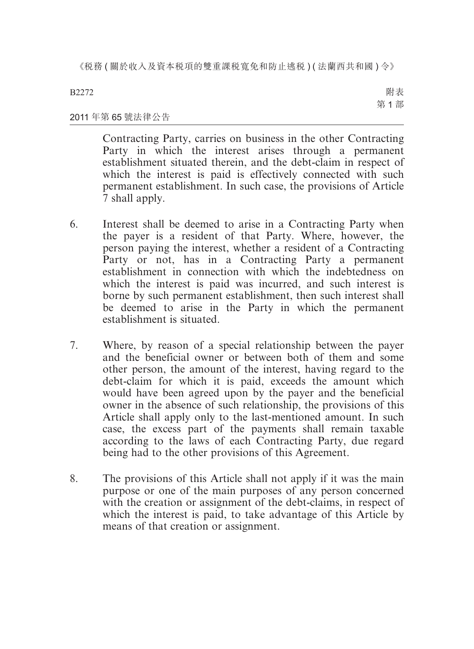B2272

附表 第 1 部

## 2011 年第 65 號法律公告

Contracting Party, carries on business in the other Contracting Party in which the interest arises through a permanent establishment situated therein, and the debt-claim in respect of which the interest is paid is effectively connected with such permanent establishment. In such case, the provisions of Article 7 shall apply.

- 6. Interest shall be deemed to arise in a Contracting Party when the payer is a resident of that Party. Where, however, the person paying the interest, whether a resident of a Contracting Party or not, has in a Contracting Party a permanent establishment in connection with which the indebtedness on which the interest is paid was incurred, and such interest is borne by such permanent establishment, then such interest shall be deemed to arise in the Party in which the permanent establishment is situated.
- 7. Where, by reason of a special relationship between the payer and the beneficial owner or between both of them and some other person, the amount of the interest, having regard to the debt-claim for which it is paid, exceeds the amount which would have been agreed upon by the payer and the beneficial owner in the absence of such relationship, the provisions of this Article shall apply only to the last-mentioned amount. In such case, the excess part of the payments shall remain taxable according to the laws of each Contracting Party, due regard being had to the other provisions of this Agreement.
- 8. The provisions of this Article shall not apply if it was the main purpose or one of the main purposes of any person concerned with the creation or assignment of the debt-claims, in respect of which the interest is paid, to take advantage of this Article by means of that creation or assignment.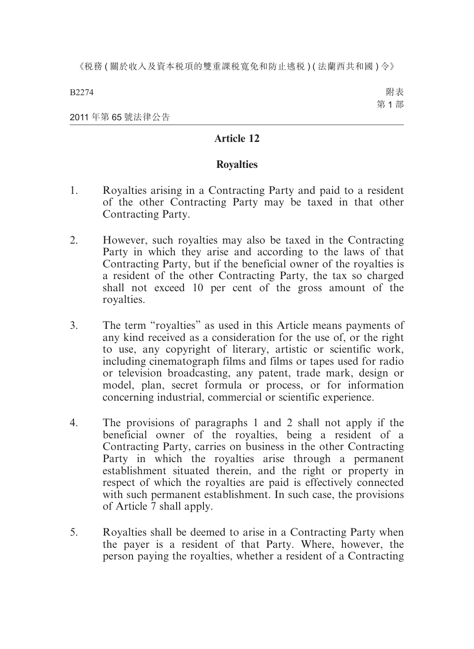B2274

附表 第 1 部

2011 年第 65 號法律公告

## **Article 12**

## **Royalties**

- 1. Royalties arising in a Contracting Party and paid to a resident of the other Contracting Party may be taxed in that other Contracting Party.
- 2. However, such royalties may also be taxed in the Contracting Party in which they arise and according to the laws of that Contracting Party, but if the beneficial owner of the royalties is a resident of the other Contracting Party, the tax so charged shall not exceed 10 per cent of the gross amount of the royalties.
- 3. The term "royalties" as used in this Article means payments of any kind received as a consideration for the use of, or the right to use, any copyright of literary, artistic or scientific work, including cinematograph films and films or tapes used for radio or television broadcasting, any patent, trade mark, design or model, plan, secret formula or process, or for information concerning industrial, commercial or scientific experience.
- 4. The provisions of paragraphs 1 and 2 shall not apply if the beneficial owner of the royalties, being a resident of a Contracting Party, carries on business in the other Contracting Party in which the royalties arise through a permanent establishment situated therein, and the right or property in respect of which the royalties are paid is effectively connected with such permanent establishment. In such case, the provisions of Article 7 shall apply.
- 5. Royalties shall be deemed to arise in a Contracting Party when the payer is a resident of that Party. Where, however, the person paying the royalties, whether a resident of a Contracting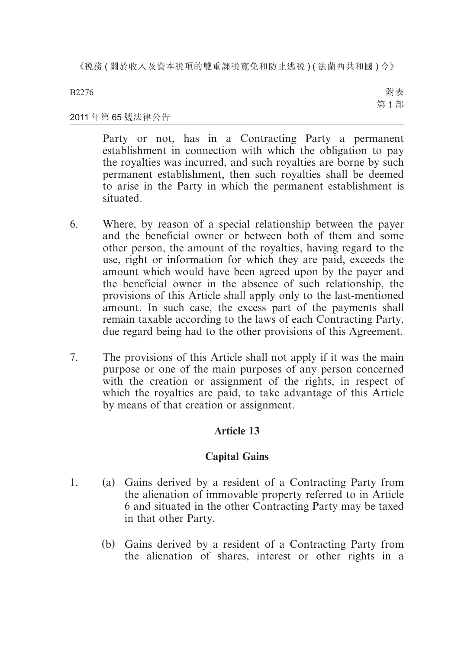B2276

附表 第 1 部

## 2011 年第 65 號法律公告

Party or not, has in a Contracting Party a permanent establishment in connection with which the obligation to pay the royalties was incurred, and such royalties are borne by such permanent establishment, then such royalties shall be deemed to arise in the Party in which the permanent establishment is situated.

- 6. Where, by reason of a special relationship between the payer and the beneficial owner or between both of them and some other person, the amount of the royalties, having regard to the use, right or information for which they are paid, exceeds the amount which would have been agreed upon by the payer and the beneficial owner in the absence of such relationship, the provisions of this Article shall apply only to the last-mentioned amount. In such case, the excess part of the payments shall remain taxable according to the laws of each Contracting Party, due regard being had to the other provisions of this Agreement.
- 7. The provisions of this Article shall not apply if it was the main purpose or one of the main purposes of any person concerned with the creation or assignment of the rights, in respect of which the royalties are paid, to take advantage of this Article by means of that creation or assignment.

## **Article 13**

## **Capital Gains**

- 1. (a) Gains derived by a resident of a Contracting Party from the alienation of immovable property referred to in Article 6 and situated in the other Contracting Party may be taxed in that other Party.
	- (b) Gains derived by a resident of a Contracting Party from the alienation of shares, interest or other rights in a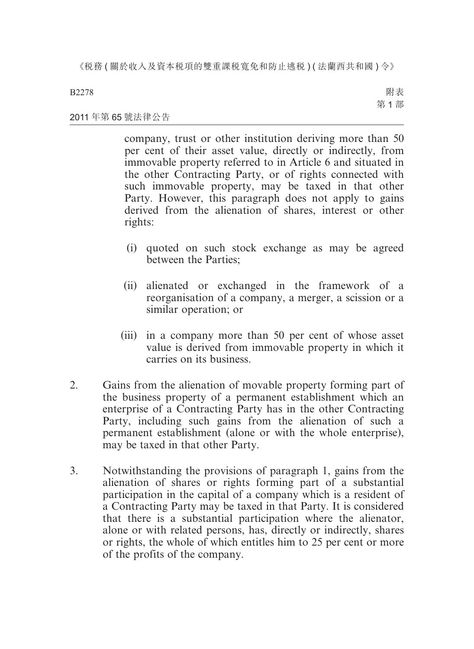#### B2278

附表 第 1 部

#### 2011 年第 65 號法律公告

company, trust or other institution deriving more than 50 per cent of their asset value, directly or indirectly, from immovable property referred to in Article 6 and situated in the other Contracting Party, or of rights connected with such immovable property, may be taxed in that other Party. However, this paragraph does not apply to gains derived from the alienation of shares, interest or other rights:

- (i) quoted on such stock exchange as may be agreed between the Parties;
- (ii) alienated or exchanged in the framework of a reorganisation of a company, a merger, a scission or a similar operation; or
- (iii) in a company more than 50 per cent of whose asset value is derived from immovable property in which it carries on its business.
- 2. Gains from the alienation of movable property forming part of the business property of a permanent establishment which an enterprise of a Contracting Party has in the other Contracting Party, including such gains from the alienation of such a permanent establishment (alone or with the whole enterprise), may be taxed in that other Party.
- 3. Notwithstanding the provisions of paragraph 1, gains from the alienation of shares or rights forming part of a substantial participation in the capital of a company which is a resident of a Contracting Party may be taxed in that Party. It is considered that there is a substantial participation where the alienator, alone or with related persons, has, directly or indirectly, shares or rights, the whole of which entitles him to 25 per cent or more of the profits of the company.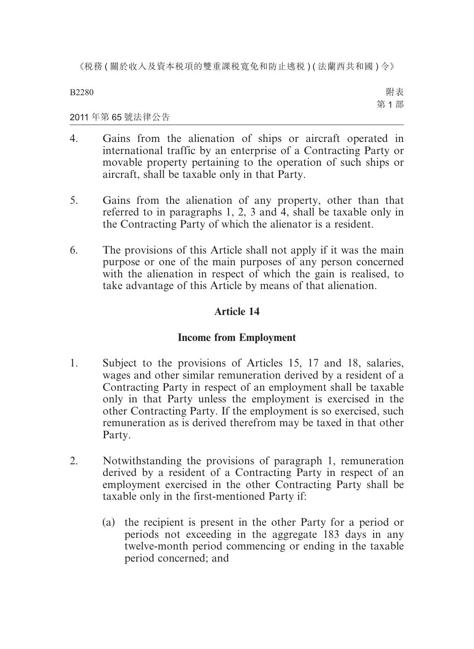B2280

附表 第 1 部

#### 2011 年第 65 號法律公告

- 4. Gains from the alienation of ships or aircraft operated in international traffic by an enterprise of a Contracting Party or movable property pertaining to the operation of such ships or aircraft, shall be taxable only in that Party.
- 5. Gains from the alienation of any property, other than that referred to in paragraphs 1, 2, 3 and 4, shall be taxable only in the Contracting Party of which the alienator is a resident.
- 6. The provisions of this Article shall not apply if it was the main purpose or one of the main purposes of any person concerned with the alienation in respect of which the gain is realised, to take advantage of this Article by means of that alienation.

## **Article 14**

## **Income from Employment**

- 1. Subject to the provisions of Articles 15, 17 and 18, salaries, wages and other similar remuneration derived by a resident of a Contracting Party in respect of an employment shall be taxable only in that Party unless the employment is exercised in the other Contracting Party. If the employment is so exercised, such remuneration as is derived therefrom may be taxed in that other Party.
- 2. Notwithstanding the provisions of paragraph 1, remuneration derived by a resident of a Contracting Party in respect of an employment exercised in the other Contracting Party shall be taxable only in the first-mentioned Party if:
	- (a) the recipient is present in the other Party for a period or periods not exceeding in the aggregate 183 days in any twelve-month period commencing or ending in the taxable period concerned; and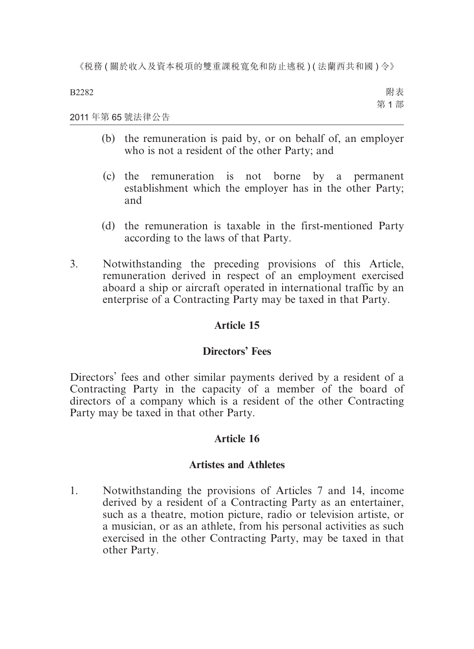B2282

附表 第 1 部

### 2011 年第 65 號法律公告

- (b) the remuneration is paid by, or on behalf of, an employer who is not a resident of the other Party; and
- (c) the remuneration is not borne by a permanent establishment which the employer has in the other Party; and
- (d) the remuneration is taxable in the first-mentioned Party according to the laws of that Party.
- 3. Notwithstanding the preceding provisions of this Article, remuneration derived in respect of an employment exercised aboard a ship or aircraft operated in international traffic by an enterprise of a Contracting Party may be taxed in that Party.

## **Article 15**

## **Directors' Fees**

Directors' fees and other similar payments derived by a resident of a Contracting Party in the capacity of a member of the board of directors of a company which is a resident of the other Contracting Party may be taxed in that other Party.

## **Article 16**

## **Artistes and Athletes**

1. Notwithstanding the provisions of Articles 7 and 14, income derived by a resident of a Contracting Party as an entertainer, such as a theatre, motion picture, radio or television artiste, or a musician, or as an athlete, from his personal activities as such exercised in the other Contracting Party, may be taxed in that other Party.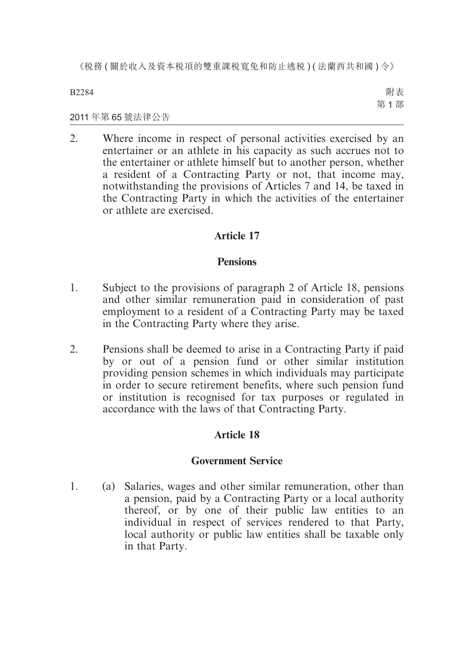B2284

附表 第 1 部

### 2011 年第 65 號法律公告

2. Where income in respect of personal activities exercised by an entertainer or an athlete in his capacity as such accrues not to the entertainer or athlete himself but to another person, whether a resident of a Contracting Party or not, that income may, notwithstanding the provisions of Articles 7 and 14, be taxed in the Contracting Party in which the activities of the entertainer or athlete are exercised.

## **Article 17**

## **Pensions**

- 1. Subject to the provisions of paragraph 2 of Article 18, pensions and other similar remuneration paid in consideration of past employment to a resident of a Contracting Party may be taxed in the Contracting Party where they arise.
- 2. Pensions shall be deemed to arise in a Contracting Party if paid by or out of a pension fund or other similar institution providing pension schemes in which individuals may participate in order to secure retirement benefits, where such pension fund or institution is recognised for tax purposes or regulated in accordance with the laws of that Contracting Party.

## **Article 18**

## **Government Service**

1. (a) Salaries, wages and other similar remuneration, other than a pension, paid by a Contracting Party or a local authority thereof, or by one of their public law entities to an individual in respect of services rendered to that Party, local authority or public law entities shall be taxable only in that Party.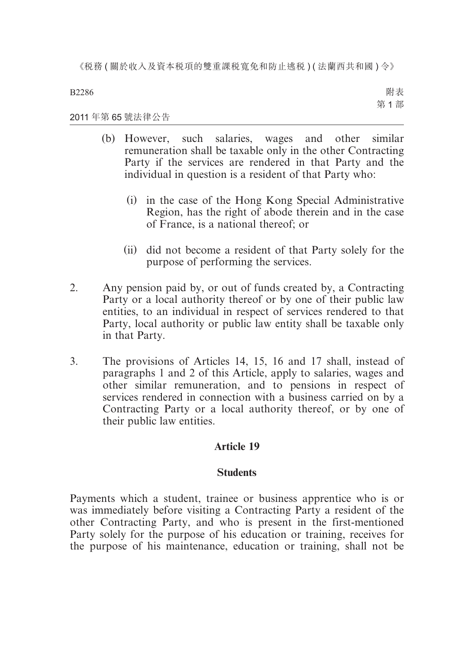B2286

附表 第 1 部

#### 2011 年第 65 號法律公告

- (b) However, such salaries, wages and other similar remuneration shall be taxable only in the other Contracting Party if the services are rendered in that Party and the individual in question is a resident of that Party who:
	- (i) in the case of the Hong Kong Special Administrative Region, has the right of abode therein and in the case of France, is a national thereof; or
	- (ii) did not become a resident of that Party solely for the purpose of performing the services.
- 2. Any pension paid by, or out of funds created by, a Contracting Party or a local authority thereof or by one of their public law entities, to an individual in respect of services rendered to that Party, local authority or public law entity shall be taxable only in that Party.
- 3. The provisions of Articles 14, 15, 16 and 17 shall, instead of paragraphs 1 and 2 of this Article, apply to salaries, wages and other similar remuneration, and to pensions in respect of services rendered in connection with a business carried on by a Contracting Party or a local authority thereof, or by one of their public law entities.

## **Article 19**

## **Students**

Payments which a student, trainee or business apprentice who is or was immediately before visiting a Contracting Party a resident of the other Contracting Party, and who is present in the first-mentioned Party solely for the purpose of his education or training, receives for the purpose of his maintenance, education or training, shall not be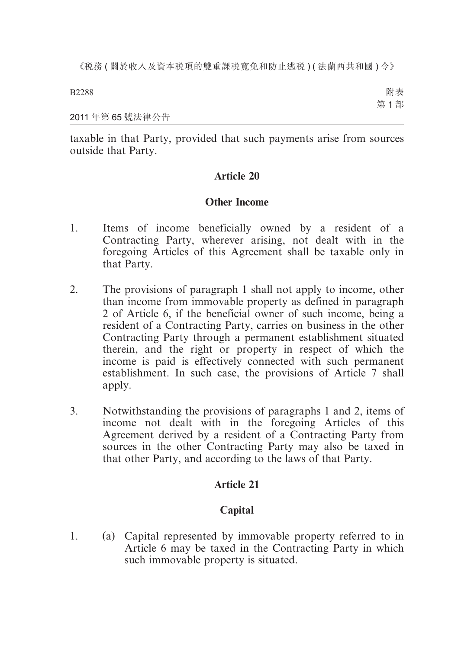2011 年第 65 號法律公告

taxable in that Party, provided that such payments arise from sources outside that Party.

## **Article 20**

## **Other Income**

- 1. Items of income beneficially owned by a resident of a Contracting Party, wherever arising, not dealt with in the foregoing Articles of this Agreement shall be taxable only in that Party.
- 2. The provisions of paragraph 1 shall not apply to income, other than income from immovable property as defined in paragraph 2 of Article 6, if the beneficial owner of such income, being a resident of a Contracting Party, carries on business in the other Contracting Party through a permanent establishment situated therein, and the right or property in respect of which the income is paid is effectively connected with such permanent establishment. In such case, the provisions of Article 7 shall apply.
- 3. Notwithstanding the provisions of paragraphs 1 and 2, items of income not dealt with in the foregoing Articles of this Agreement derived by a resident of a Contracting Party from sources in the other Contracting Party may also be taxed in that other Party, and according to the laws of that Party.

## **Article 21**

## **Capital**

1. (a) Capital represented by immovable property referred to in Article 6 may be taxed in the Contracting Party in which such immovable property is situated.

B2288

附表 第 1 部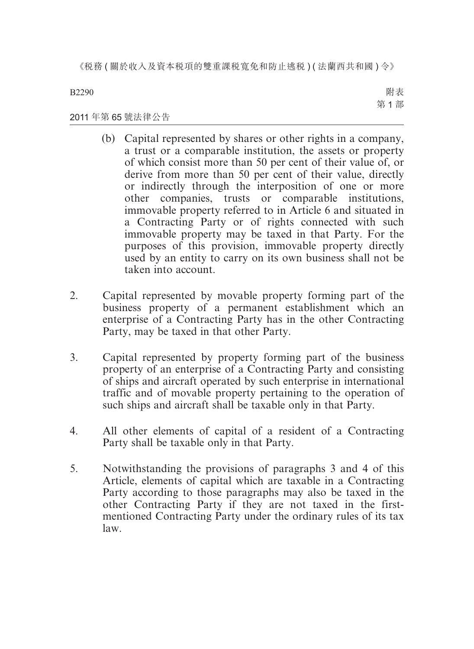B2290

附表 第 1 部

## 2011 年第 65 號法律公告

- (b) Capital represented by shares or other rights in a company, a trust or a comparable institution, the assets or property of which consist more than 50 per cent of their value of, or derive from more than 50 per cent of their value, directly or indirectly through the interposition of one or more other companies, trusts or comparable institutions, immovable property referred to in Article 6 and situated in a Contracting Party or of rights connected with such immovable property may be taxed in that Party. For the purposes of this provision, immovable property directly used by an entity to carry on its own business shall not be taken into account.
- 2. Capital represented by movable property forming part of the business property of a permanent establishment which an enterprise of a Contracting Party has in the other Contracting Party, may be taxed in that other Party.
- 3. Capital represented by property forming part of the business property of an enterprise of a Contracting Party and consisting of ships and aircraft operated by such enterprise in international traffic and of movable property pertaining to the operation of such ships and aircraft shall be taxable only in that Party.
- 4. All other elements of capital of a resident of a Contracting Party shall be taxable only in that Party.
- 5. Notwithstanding the provisions of paragraphs 3 and 4 of this Article, elements of capital which are taxable in a Contracting Party according to those paragraphs may also be taxed in the other Contracting Party if they are not taxed in the firstmentioned Contracting Party under the ordinary rules of its tax law.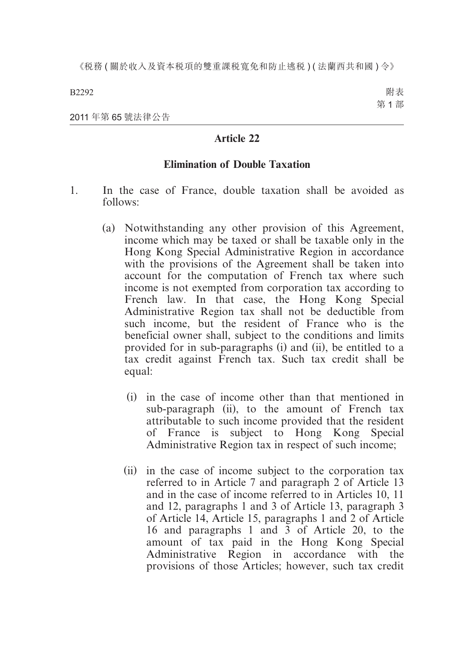B2292

附表 第 1 部

2011 年第 65 號法律公告

## **Article 22**

## **Elimination of Double Taxation**

- 1. In the case of France, double taxation shall be avoided as follows:
	- (a) Notwithstanding any other provision of this Agreement, income which may be taxed or shall be taxable only in the Hong Kong Special Administrative Region in accordance with the provisions of the Agreement shall be taken into account for the computation of French tax where such income is not exempted from corporation tax according to French law. In that case, the Hong Kong Special Administrative Region tax shall not be deductible from such income, but the resident of France who is the beneficial owner shall, subject to the conditions and limits provided for in sub-paragraphs (i) and (ii), be entitled to a tax credit against French tax. Such tax credit shall be equal:
		- (i) in the case of income other than that mentioned in sub-paragraph (ii), to the amount of French tax attributable to such income provided that the resident of France is subject to Hong Kong Special Administrative Region tax in respect of such income;
		- (ii) in the case of income subject to the corporation tax referred to in Article 7 and paragraph 2 of Article 13 and in the case of income referred to in Articles 10, 11 and 12, paragraphs 1 and 3 of Article 13, paragraph 3 of Article 14, Article 15, paragraphs 1 and 2 of Article 16 and paragraphs 1 and 3 of Article 20, to the amount of tax paid in the Hong Kong Special Administrative Region in accordance with the provisions of those Articles; however, such tax credit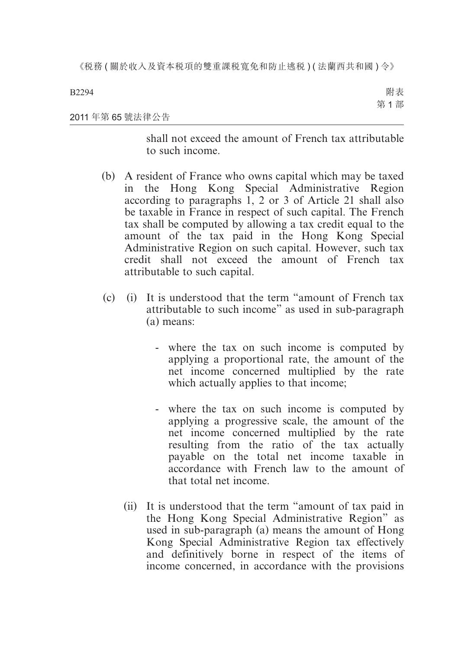2011 年第 65 號法律公告 附表 第 1 部

> shall not exceed the amount of French tax attributable to such income.

- (b) A resident of France who owns capital which may be taxed in the Hong Kong Special Administrative Region according to paragraphs 1, 2 or 3 of Article 21 shall also be taxable in France in respect of such capital. The French tax shall be computed by allowing a tax credit equal to the amount of the tax paid in the Hong Kong Special Administrative Region on such capital. However, such tax credit shall not exceed the amount of French tax attributable to such capital.
- (c) (i) It is understood that the term "amount of French tax attributable to such income" as used in sub-paragraph (a) means:
	- where the tax on such income is computed by applying a proportional rate, the amount of the net income concerned multiplied by the rate which actually applies to that income;
	- where the tax on such income is computed by applying a progressive scale, the amount of the net income concerned multiplied by the rate resulting from the ratio of the tax actually payable on the total net income taxable in accordance with French law to the amount of that total net income.
	- (ii) It is understood that the term "amount of tax paid in the Hong Kong Special Administrative Region" as used in sub-paragraph (a) means the amount of Hong Kong Special Administrative Region tax effectively and definitively borne in respect of the items of income concerned, in accordance with the provisions

#### B2294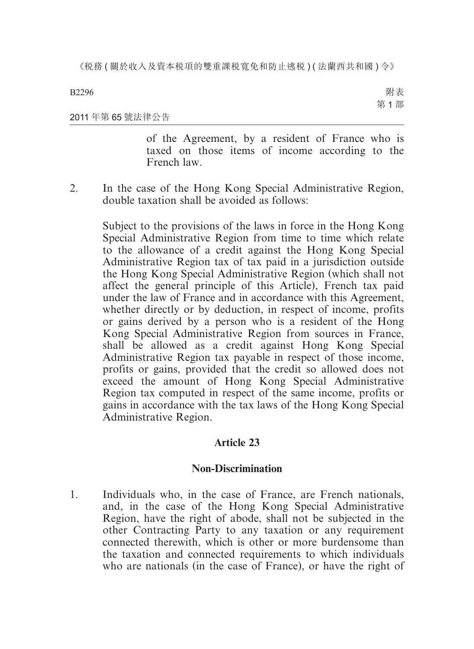B2296

附表 第 1 部

#### 2011 年第 65 號法律公告

of the Agreement, by a resident of France who is taxed on those items of income according to the French law.

2. In the case of the Hong Kong Special Administrative Region, double taxation shall be avoided as follows:

Subject to the provisions of the laws in force in the Hong Kong Special Administrative Region from time to time which relate to the allowance of a credit against the Hong Kong Special Administrative Region tax of tax paid in a jurisdiction outside the Hong Kong Special Administrative Region (which shall not affect the general principle of this Article), French tax paid under the law of France and in accordance with this Agreement, whether directly or by deduction, in respect of income, profits or gains derived by a person who is a resident of the Hong Kong Special Administrative Region from sources in France, shall be allowed as a credit against Hong Kong Special Administrative Region tax payable in respect of those income, profits or gains, provided that the credit so allowed does not exceed the amount of Hong Kong Special Administrative Region tax computed in respect of the same income, profits or gains in accordance with the tax laws of the Hong Kong Special Administrative Region.

## **Article 23**

## **Non-Discrimination**

1. Individuals who, in the case of France, are French nationals, and, in the case of the Hong Kong Special Administrative Region, have the right of abode, shall not be subjected in the other Contracting Party to any taxation or any requirement connected therewith, which is other or more burdensome than the taxation and connected requirements to which individuals who are nationals (in the case of France), or have the right of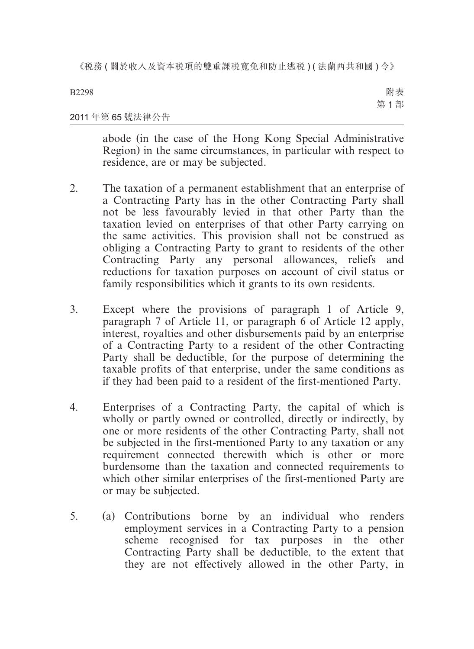B2298

附表 第 1 部

## 2011 年第 65 號法律公告

abode (in the case of the Hong Kong Special Administrative Region) in the same circumstances, in particular with respect to residence, are or may be subjected.

- 2. The taxation of a permanent establishment that an enterprise of a Contracting Party has in the other Contracting Party shall not be less favourably levied in that other Party than the taxation levied on enterprises of that other Party carrying on the same activities. This provision shall not be construed as obliging a Contracting Party to grant to residents of the other Contracting Party any personal allowances, reliefs and reductions for taxation purposes on account of civil status or family responsibilities which it grants to its own residents.
- 3. Except where the provisions of paragraph 1 of Article 9, paragraph 7 of Article 11, or paragraph 6 of Article 12 apply, interest, royalties and other disbursements paid by an enterprise of a Contracting Party to a resident of the other Contracting Party shall be deductible, for the purpose of determining the taxable profits of that enterprise, under the same conditions as if they had been paid to a resident of the first-mentioned Party.
- 4. Enterprises of a Contracting Party, the capital of which is wholly or partly owned or controlled, directly or indirectly, by one or more residents of the other Contracting Party, shall not be subjected in the first-mentioned Party to any taxation or any requirement connected therewith which is other or more burdensome than the taxation and connected requirements to which other similar enterprises of the first-mentioned Party are or may be subjected.
- 5. (a) Contributions borne by an individual who renders employment services in a Contracting Party to a pension scheme recognised for tax purposes in the other Contracting Party shall be deductible, to the extent that they are not effectively allowed in the other Party, in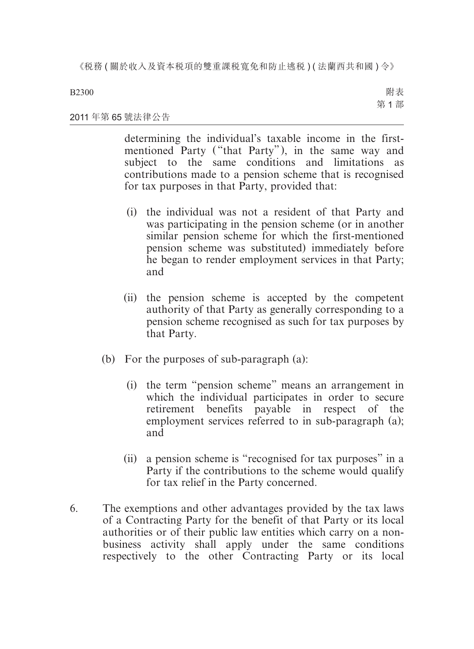B2300

附表 第 1 部

### 2011 年第 65 號法律公告

determining the individual's taxable income in the firstmentioned Party ("that Party"), in the same way and subject to the same conditions and limitations as contributions made to a pension scheme that is recognised for tax purposes in that Party, provided that:

- (i) the individual was not a resident of that Party and was participating in the pension scheme (or in another similar pension scheme for which the first-mentioned pension scheme was substituted) immediately before he began to render employment services in that Party; and
- (ii) the pension scheme is accepted by the competent authority of that Party as generally corresponding to a pension scheme recognised as such for tax purposes by that Party.
- (b) For the purposes of sub-paragraph (a):
	- (i) the term "pension scheme" means an arrangement in which the individual participates in order to secure retirement benefits payable in respect of the employment services referred to in sub-paragraph (a); and
	- (ii) a pension scheme is "recognised for tax purposes" in a Party if the contributions to the scheme would qualify for tax relief in the Party concerned.
- 6. The exemptions and other advantages provided by the tax laws of a Contracting Party for the benefit of that Party or its local authorities or of their public law entities which carry on a nonbusiness activity shall apply under the same conditions respectively to the other Contracting Party or its local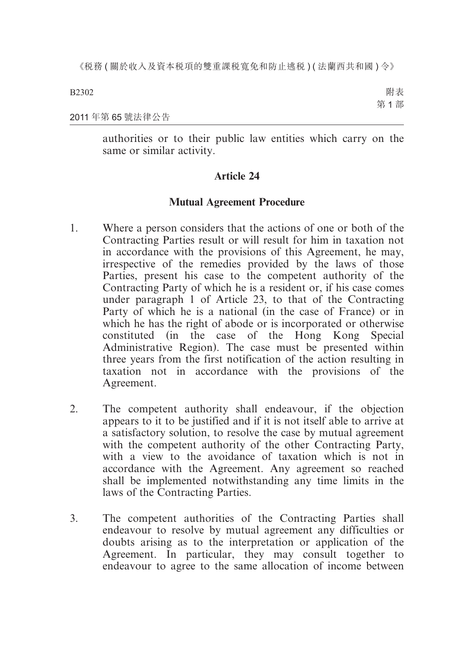2011 年第 65 號法律公告

authorities or to their public law entities which carry on the same or similar activity.

## **Article 24**

## **Mutual Agreement Procedure**

- 1. Where a person considers that the actions of one or both of the Contracting Parties result or will result for him in taxation not in accordance with the provisions of this Agreement, he may, irrespective of the remedies provided by the laws of those Parties, present his case to the competent authority of the Contracting Party of which he is a resident or, if his case comes under paragraph 1 of Article 23, to that of the Contracting Party of which he is a national (in the case of France) or in which he has the right of abode or is incorporated or otherwise constituted (in the case of the Hong Kong Special Administrative Region). The case must be presented within three years from the first notification of the action resulting in taxation not in accordance with the provisions of the Agreement.
- 2. The competent authority shall endeavour, if the objection appears to it to be justified and if it is not itself able to arrive at a satisfactory solution, to resolve the case by mutual agreement with the competent authority of the other Contracting Party, with a view to the avoidance of taxation which is not in accordance with the Agreement. Any agreement so reached shall be implemented notwithstanding any time limits in the laws of the Contracting Parties.
- 3. The competent authorities of the Contracting Parties shall endeavour to resolve by mutual agreement any difficulties or doubts arising as to the interpretation or application of the Agreement. In particular, they may consult together to endeavour to agree to the same allocation of income between

B2302

附表 第 1 部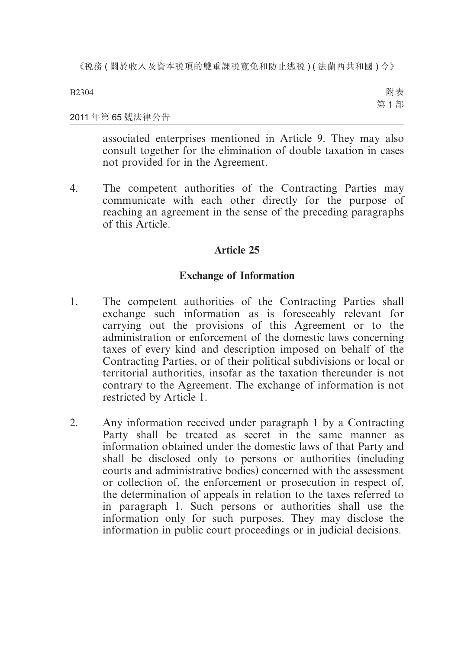B2304

附表 第 1 部

#### 2011 年第 65 號法律公告

associated enterprises mentioned in Article 9. They may also consult together for the elimination of double taxation in cases not provided for in the Agreement.

4. The competent authorities of the Contracting Parties may communicate with each other directly for the purpose of reaching an agreement in the sense of the preceding paragraphs of this Article.

## **Article 25**

## **Exchange of Information**

- 1. The competent authorities of the Contracting Parties shall exchange such information as is foreseeably relevant for carrying out the provisions of this Agreement or to the administration or enforcement of the domestic laws concerning taxes of every kind and description imposed on behalf of the Contracting Parties, or of their political subdivisions or local or territorial authorities, insofar as the taxation thereunder is not contrary to the Agreement. The exchange of information is not restricted by Article 1.
- 2. Any information received under paragraph 1 by a Contracting Party shall be treated as secret in the same manner as information obtained under the domestic laws of that Party and shall be disclosed only to persons or authorities (including courts and administrative bodies) concerned with the assessment or collection of, the enforcement or prosecution in respect of, the determination of appeals in relation to the taxes referred to in paragraph 1. Such persons or authorities shall use the information only for such purposes. They may disclose the information in public court proceedings or in judicial decisions.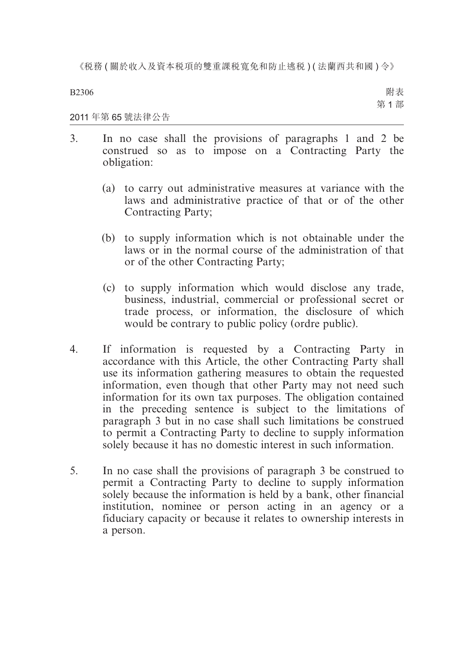B2306

附表 第 1 部

2011 年第 65 號法律公告

- 3. In no case shall the provisions of paragraphs 1 and 2 be construed so as to impose on a Contracting Party the obligation:
	- (a) to carry out administrative measures at variance with the laws and administrative practice of that or of the other Contracting Party;
	- (b) to supply information which is not obtainable under the laws or in the normal course of the administration of that or of the other Contracting Party;
	- (c) to supply information which would disclose any trade, business, industrial, commercial or professional secret or trade process, or information, the disclosure of which would be contrary to public policy (ordre public).
- 4. If information is requested by a Contracting Party in accordance with this Article, the other Contracting Party shall use its information gathering measures to obtain the requested information, even though that other Party may not need such information for its own tax purposes. The obligation contained in the preceding sentence is subject to the limitations of paragraph 3 but in no case shall such limitations be construed to permit a Contracting Party to decline to supply information solely because it has no domestic interest in such information.
- 5. In no case shall the provisions of paragraph 3 be construed to permit a Contracting Party to decline to supply information solely because the information is held by a bank, other financial institution, nominee or person acting in an agency or a fiduciary capacity or because it relates to ownership interests in a person.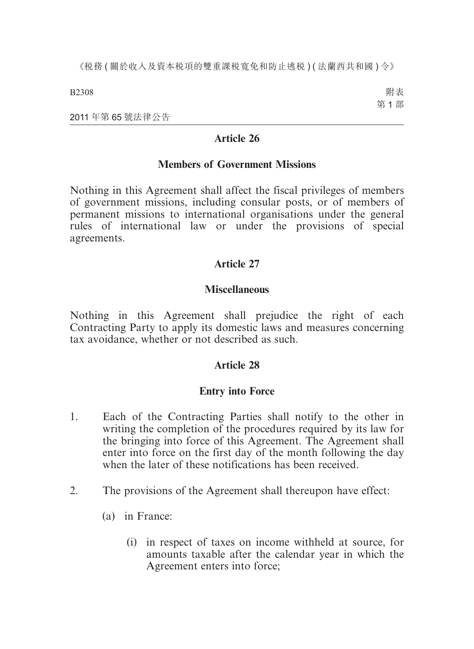B2308

附表 第 1 部

2011 年第 65 號法律公告

# **Article 26**

## **Members of Government Missions**

Nothing in this Agreement shall affect the fiscal privileges of members of government missions, including consular posts, or of members of permanent missions to international organisations under the general rules of international law or under the provisions of special agreements.

# **Article 27**

# **Miscellaneous**

Nothing in this Agreement shall prejudice the right of each Contracting Party to apply its domestic laws and measures concerning tax avoidance, whether or not described as such.

# **Article 28**

# **Entry into Force**

- 1. Each of the Contracting Parties shall notify to the other in writing the completion of the procedures required by its law for the bringing into force of this Agreement. The Agreement shall enter into force on the first day of the month following the day when the later of these notifications has been received.
- 2. The provisions of the Agreement shall thereupon have effect:
	- (a) in France:
		- (i) in respect of taxes on income withheld at source, for amounts taxable after the calendar year in which the Agreement enters into force;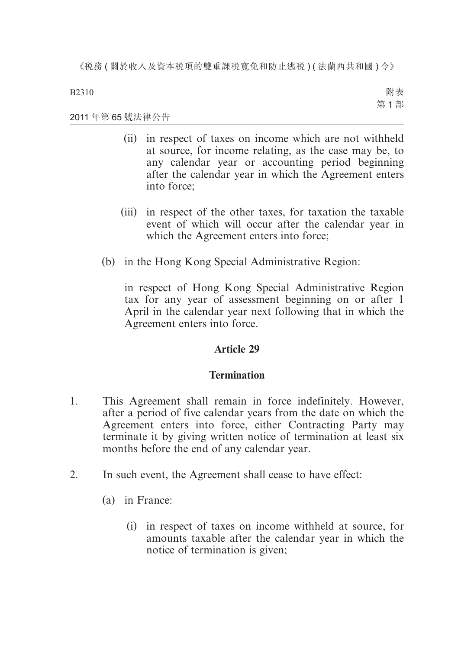B2310

附表 第 1 部

2011 年第 65 號法律公告

- (ii) in respect of taxes on income which are not withheld at source, for income relating, as the case may be, to any calendar year or accounting period beginning after the calendar year in which the Agreement enters into force;
- (iii) in respect of the other taxes, for taxation the taxable event of which will occur after the calendar year in which the Agreement enters into force;
- (b) in the Hong Kong Special Administrative Region:

in respect of Hong Kong Special Administrative Region tax for any year of assessment beginning on or after 1 April in the calendar year next following that in which the Agreement enters into force.

# **Article 29**

# **Termination**

- 1. This Agreement shall remain in force indefinitely. However, after a period of five calendar years from the date on which the Agreement enters into force, either Contracting Party may terminate it by giving written notice of termination at least six months before the end of any calendar year.
- 2. In such event, the Agreement shall cease to have effect:
	- (a) in France:
		- (i) in respect of taxes on income withheld at source, for amounts taxable after the calendar year in which the notice of termination is given;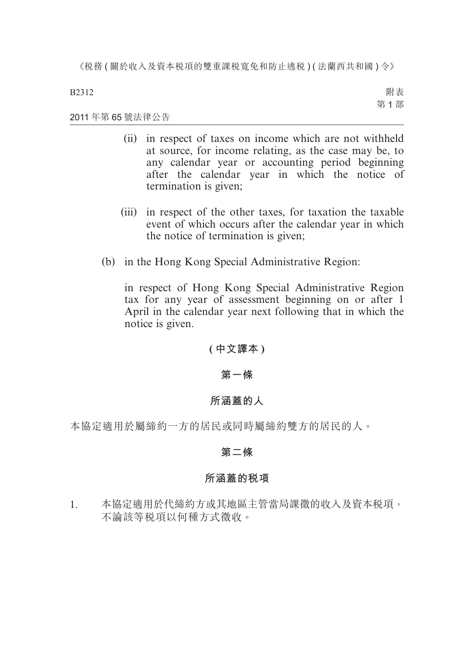B2312

附表 第 1 部

2011 年第 65 號法律公告

- (ii) in respect of taxes on income which are not withheld at source, for income relating, as the case may be, to any calendar year or accounting period beginning after the calendar year in which the notice of termination is given;
- (iii) in respect of the other taxes, for taxation the taxable event of which occurs after the calendar year in which the notice of termination is given;
- (b) in the Hong Kong Special Administrative Region:

in respect of Hong Kong Special Administrative Region tax for any year of assessment beginning on or after 1 April in the calendar year next following that in which the notice is given.

**( 中文譯本 )**

# **第一條**

# **所涵蓋的人**

本協定適用於屬締約一方的居民或同時屬締約雙方的居民的人。

# **第二條**

# **所涵蓋的稅項**

1. 本協定適用於代締約方或其地區主管當局課徵的收入及資本稅項, 不論該等稅項以何種方式徵收。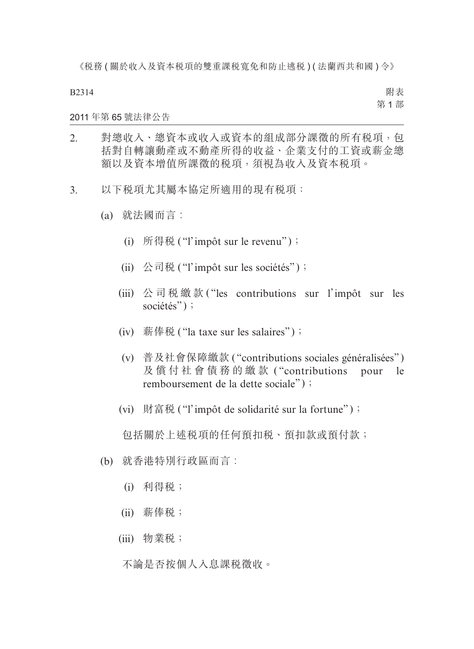B2314

附表 第 1 部

#### 2011 年第 65 號法律公告

- 2. 對總收入、總資本或收入或資本的組成部分課徵的所有稅項,包 括對自轉讓動產或不動產所得的收益、企業支付的工資或薪金總 額以及資本增值所課徵的稅項,須視為收入及資本稅項。
- 3. 以下稅項尤其屬本協定所適用的現有稅項:
	- (a) 就法國而言︰
		- (i) 所得税 ("l'impôt sur le revenu");
		- (ii) 公司税 ("l'impôt sur les sociétés");
		- (iii) 公司稅繳款 ( "les contributions sur l'impôt sur les sociétés");
		- (iv) 薪俸税 ("la taxe sur les salaires");
		- (v) 普及社會保障繳款 ( "contributions sociales généralisées" ) 及償付社會債務的繳款 ( "contributions pour le remboursement de la dette sociale");
		- (vi) 財富税 ("l'impôt de solidarité sur la fortune");

包括關於上述税項的任何預扣税、預扣款或預付款;

- (b) 就香港特別行政區而言︰
	- (i) 利得稅;
	- (ii) 薪俸稅;
	- (iii) 物業稅;

不論是否按個人入息課稅徵收。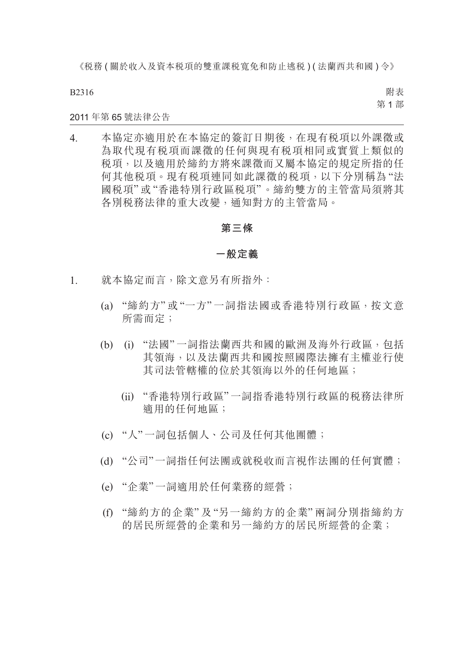B2316

附表 第 1 部

#### 2011 年第 65 號法律公告

4. 本協定亦適用於在本協定的簽訂日期後,在現有稅項以外課徵或 為取代現有税項而課徵的任何與現有税項相同或實質上類似的 稅項,以及適用於締約方將來課徵而又屬本協定的規定所指的任 何其他稅項。現有稅項連同如此課徵的稅項,以下分別稱為 "法 國稅項" 或 "香港特別行政區稅項"。締約雙方的主管當局須將其 各別稅務法律的重大改變,通知對方的主管當局。

#### **第三條**

#### **一般定義**

- 1. 就本協定而言,除文意另有所指外:
	- (a) "締約方" 或 "一方" 一詞指法國或香港特別行政區,按文意 所需而定;
	- (b) (i) "法國" 一詞指法蘭西共和國的歐洲及海外行政區,包括 其領海,以及法蘭西共和國按照國際法擁有主權並行使 其司法管轄權的位於其領海以外的任何地區;
		- (ii) "香港特別行政區"一詞指香港特別行政區的稅務法律所 適用的任何地區;
	- (c) "人"一詞包括個人、公司及任何其他團體;
	- (d) "公司"一詞指任何法團或就稅收而言視作法團的任何實體;
	- (e) "企業"一詞適用於任何業務的經營;
	- (f) "締約方的企業" 及 "另一締約方的企業" 兩詞分別指締約方 的居民所經營的企業和另一締約方的居民所經營的企業;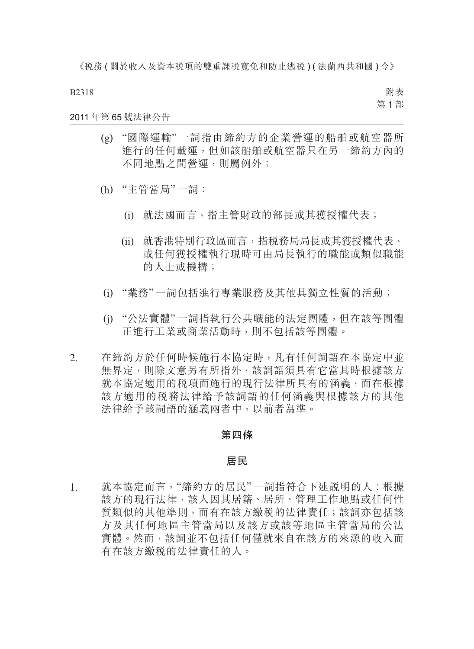B2318

附表 第 1 部

### 2011 年第 65 號法律公告

- (g) "國際運輸" 一詞指由締約方的企業營運的船舶或航空器所 進行的任何載運,但如該船舶或航空器只在另一締約方內的 不同地點之間營運,則屬例外;
- (h) "主管當局"一詞:
	- (i) 就法國而言,指主管財政的部長或其獲授權代表;
	- (ii) 就香港特別行政區而言,指稅務局局長或其獲授權代表, 或任何獲授權執行現時可由局長執行的職能或類似職能 的人十或機構;
- (i) "業務"一詞包括進行專業服務及其他具獨立性質的活動;
- (j) "公法實體"一詞指執行公共職能的法定團體,但在該等團體 正進行工業或商業活動時,則不包括該等團體。
- 2. 在締約方於任何時候施行本協定時,凡有任何詞語在本協定中並 無界定,則除文意另有所指外,該詞語須具有它當其時根據該方 就本協定適用的稅項而施行的現行法律所具有的涵義,而在根據 該方適用的稅務法律給予該詞語的任何涵義與根據該方的其他 法律給予該詞語的涵義兩者中,以前者為準。

#### **第四條**

#### **居民**

1. 就本協定而言,"締約方的居民"一詞指符合下述說明的人︰根據 該方的現行法律,該人因其居籍、居所、管理工作地點或任何性 質類似的其他準則,而有在該方繳稅的法律責任;該詞亦包括該 方及其任何地區主管當局以及該方或該等地區主管當局的公法 實體。然而,該詞並不包括任何僅就來自在該方的來源的收入而 有在該方繳稅的法律責任的人。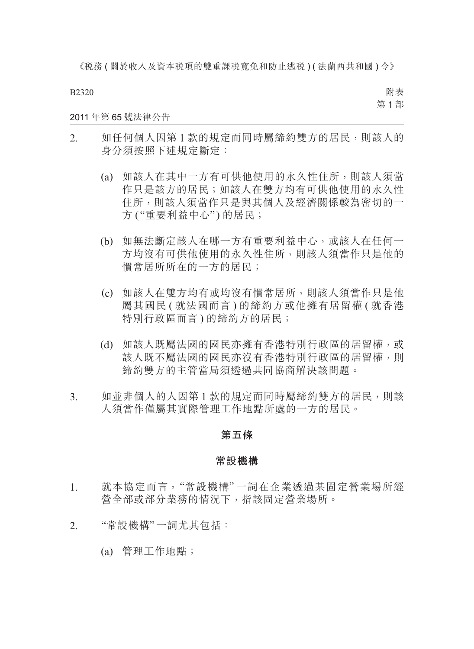B2320

附表 第 1 部

### 2011 年第 65 號法律公告

- 2. 如任何個人因第 1 款的規定而同時屬締約雙方的居民,則該人的 身分須按照下述規定斷定:
	- (a) 如該人在其中一方有可供他使用的永久性住所,則該人須當 作只是該方的居民;如該人在雙方均有可供他使用的永久性 住所,則該人須當作只是與其個人及經濟關係較為密切的一 方 ("重要利益中心") 的居民;
	- (b) 如無法斷定該人在哪一方有重要利益中心,或該人在任何一 方均沒有可供他使用的永久性住所,則該人須當作只是他的 慣常居所所在的一方的居民;
	- (c) 如該人在雙方均有或均沒有慣常居所,則該人須當作只是他 屬其國民 ( 就法國而言 ) 的締約方或他擁有居留權 ( 就香港 特別行政區而言 ) 的締約方的居民;
	- (d) 如該人既屬法國的國民亦擁有香港特別行政區的居留權,或 該人既不屬法國的國民亦沒有香港特別行政區的居留權,則 締約雙方的主管當局須透過共同協商解決該問題。
- 3. 如並非個人的人因第 1 款的規定而同時屬締約雙方的居民,則該 人須當作僅屬其實際管理工作地點所處的一方的居民。

#### **第五條**

#### **常設機構**

- 1. 就本協定而言,"常設機構" 一詞在企業透過某固定營業場所經 營全部或部分業務的情況下,指該固定營業場所。
- 2. "常設機構"一詞尤其包括:
	- (a) 管理工作地點;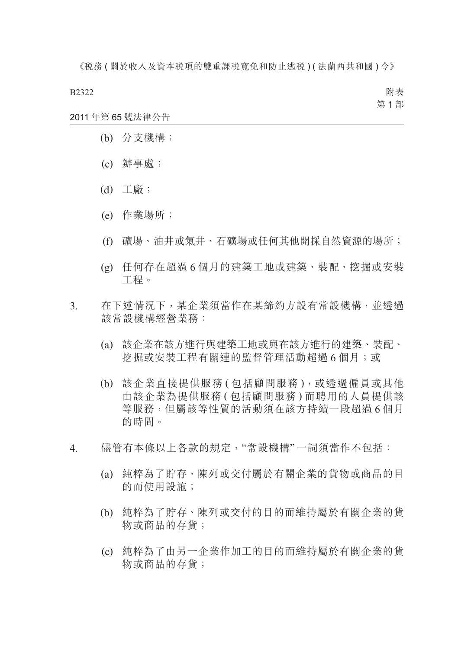B2322

附表 第 1 部

- 2011 年第 65 號法律公告
	- (b) 分支機構;
	- (c) 辦事處;
	- (d) 工廠;
	- (e) 作業場所;
	- (f) 礦場、油井或氣井、石礦場或任何其他開採自然資源的場所;
	- (g) 任何存在超過 6 個月的建築工地或建築、裝配、挖掘或安裝 工程。
- 3. 在下述情況下,某企業須當作在某締約方設有常設機構,並透過 該常設機構經營業務:
	- (a) 該企業在該方進行與建築工地或與在該方進行的建築、裝配、 挖掘或安裝工程有關連的監督管理活動超過 6 個月;或
	- (b) 該企業直接提供服務 ( 包括顧問服務 ),或透過僱員或其他 由該企業為提供服務 ( 包括顧問服務 ) 而聘用的人員提供該 等服務,但屬該等性質的活動須在該方持續一段超過6個月 的時間。
- 4. 儘管有本條以上各款的規定,"常設機構"一詞須當作不包括:
	- (a) 純粹為了貯存、陳列或交付屬於有關企業的貨物或商品的目 的而使用設施;
	- (b) 純粹為了貯存、陳列或交付的目的而維持屬於有關企業的貨 物或商品的存貨;
	- (c) 純粹為了由另一企業作加工的目的而維持屬於有關企業的貨 物或商品的存貨;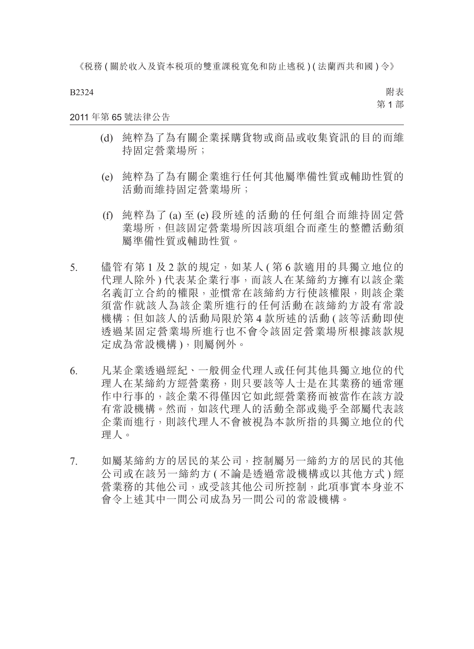B2324

附表 第 1 部

#### 2011 年第 65 號法律公告

- (d) 純粹為了為有關企業採購貨物或商品或收集資訊的目的而維 持固定營業場所;
- (e) 純粹為了為有關企業進行任何其他屬準備性質或輔助性質的 活動而維持固定營業場所;
- (f) 純粹為了 (a) 至 (e) 段所述的活動的任何組合而維持固定營 業場所,但該固定營業場所因該項組合而產生的整體活動須 屬準備性質或輔助性質。
- 5. 儘管有第1及2款的規定,如某人 ( 第 6 款適用的具獨立地位的 代理人除外 ) 代表某企業行事,而該人在某締約方擁有以該企業 名義訂立合約的權限,並慣常在該締約方行使該權限,則該企業 須當作就該人為該企業所進行的任何活動在該締約方設有常設 機構;但如該人的活動局限於第 4 款所述的活動 ( 該等活動即使 透過某固定營業場所進行也不會令該固定營業場所根據該款規 定成為常設機構 ),則屬例外。
- 6. 凡某企業透過經紀、一般佣金代理人或任何其他具獨立地位的代 理人在某締約方經營業務,則只要該等人士是在其業務的通常運 作中行事的,該企業不得僅因它如此經營業務而被當作在該方設 有常設機構。然而,如該代理人的活動全部或幾乎全部屬代表該 企業而進行,則該代理人不會被視為本款所指的具獨立地位的代 理人。
- 7. 如屬某締約方的居民的某公司,控制屬另一締約方的居民的其他 公司或在該另一締約方 ( 不論是透過常設機構或以其他方式 ) 經 營業務的其他公司,或受該其他公司所控制,此項事實本身並不 會令上述其中一間公司成為另一間公司的常設機構。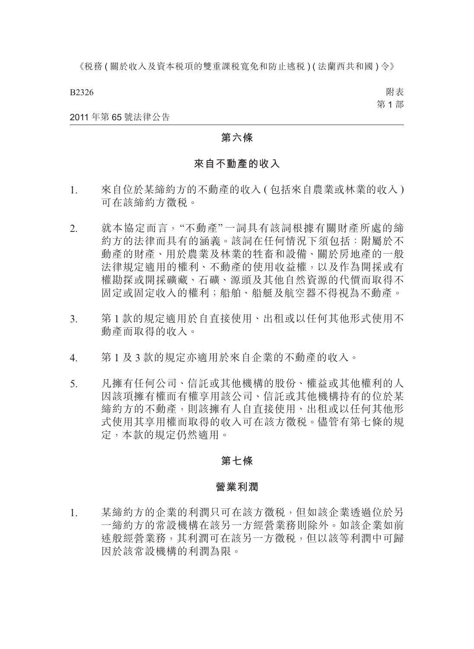B2326

附表 第 1 部

#### 2011 年第 65 號法律公告

### **第六條**

### **來自不動產的收入**

- 1. 來自位於某締約方的不動產的收入 ( 包括來自農業或林業的收入 ) 可在該締約方徵稅。
- 2. 就本協定而言,"不動產" 一詞具有該詞根據有關財產所處的締 約方的法律而具有的涵義。該詞在任何情況下須包括:附屬於不 動產的財產、用於農業及林業的牲畜和設備、關於房地產的一般 法律規定適用的權利、不動產的使用收益權,以及作為開採或有 權勘探或開採礦藏、石礦、源頭及其他自然資源的代價而取得不 固定或固定收入的權利;船舶、船艇及航空器不得視為不動產。
- 3. 第 1 款的規定適用於自直接使用、出租或以任何其他形式使用不 動產而取得的收入。
- 4. 第 1 及 3 款的規定亦適用於來自企業的不動產的收入。
- 5. 凡擁有任何公司、信託或其他機構的股份、權益或其他權利的人 因該項擁有權而有權享用該公司、信託或其他機構持有的位於某 締約方的不動產,則該擁有人自直接使用、出租或以任何其他形 式使用其享用權而取得的收入可在該方徵稅。儘管有第七條的規 定,本款的規定仍然適用。

#### **第七條**

#### **營業利潤**

1. 某締約方的企業的利潤只可在該方徵稅,但如該企業透過位於另 一締約方的常設機構在該另一方經營業務則除外。如該企業如前 述般經營業務,其利潤可在該另一方徵稅,但以該等利潤中可歸 因於該常設機構的利潤為限。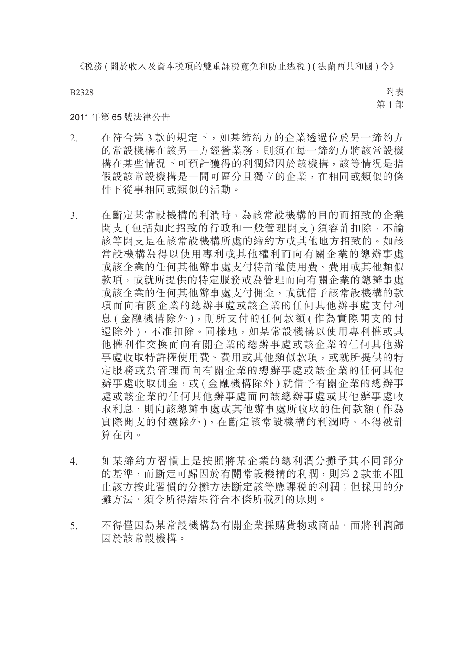B2328

附表 第 1 部

#### 2011 年第 65 號法律公告

- 2. 在符合第 3 款的規定下,如某締約方的企業透過位於另一締約方 的常設機構在該另一方經營業務,則須在每一締約方將該常設機 構在某些情況下可預計獲得的利潤歸因於該機構,該等情況是指 假設該常設機構是一間可區分且獨立的企業,在相同或類似的條 件下從事相同或類似的活動。
- 3. 在斷定某常設機構的利潤時,為該常設機構的目的而招致的企業 開支 ( 包括如此招致的行政和一般管理開支 ) 須容許扣除, 不論 該等開支是在該常設機構所處的締約方或其他地方招致的。如該 常設機構為得以使用專利或其他權利而向有關企業的總辦事處 或該企業的任何其他辦事處支付特許權使用費、費用或其他類似 款項,或就所提供的特定服務或為管理而向有關企業的總辦事處 或該企業的任何其他辦事處支付佣金,或就借予該常設機構的款 項而向有關企業的總辦事處或該企業的任何其他辦事處支付利 息 (金融機構除外),則所支付的任何款額 (作為實際開支的付 還除外),不准扣除。同樣地,如某常設機構以使用專利權或其 他權利作交換而向有關企業的總辦事處或該企業的任何其他辦 事處收取特許權使用費、費用或其他類似款項,或就所提供的特 定服務或為管理而向有關企業的總辦事處或該企業的任何其他 辦事處收取佣金,或(金融機構除外)就借予有關企業的總辦事 處或該企業的任何其他辦事處而向該總辦事處或其他辦事處收 取利息,則向該總辦事處或其他辦事處所收取的任何款額(作為 實際開支的付還除外 ),在斷定該常設機構的利潤時,不得被計 算在內。
- 4. 如某締約方習慣上是按照將某企業的總利潤分攤予其不同部分 的基準,而斷定可歸因於有關常設機構的利潤,則第 2 款並不阻 止該方按此習慣的分攤方法斷定該等應課稅的利潤;但採用的分 攤方法,須令所得結果符合本條所載列的原則。
- 5. 不得僅因為某常設機構為有關企業採購貨物或商品,而將利潤歸 因於該常設機構。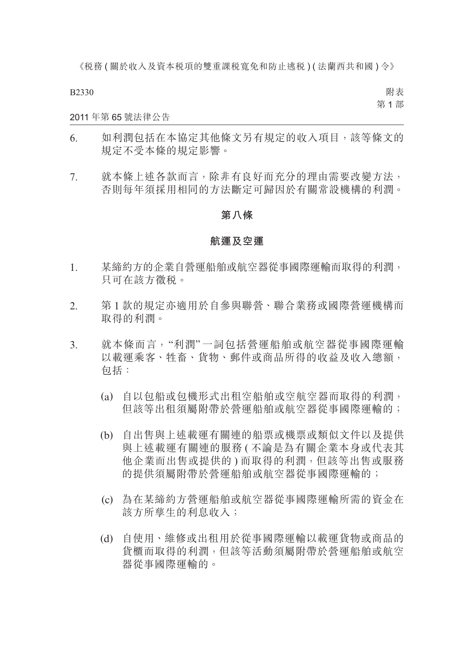B2330

附表 第 1 部

#### 2011 年第 65 號法律公告

- 6. 如利潤包括在本協定其他條文另有規定的收入項目,該等條文的 規定不受本條的規定影響。
- 7. 就本條上述各款而言,除非有良好而充分的理由需要改變方法, 否則每年須採用相同的方法斷定可歸因於有關常設機構的利潤。

#### **第八條**

#### **航運及空運**

- 1. 某締約方的企業自營運船舶或航空器從事國際運輸而取得的利潤, 只可在該方徵稅。
- 2. 第 1 款的規定亦適用於自參與聯營、聯合業務或國際營運機構而 取得的利潤。
- 3. 就本條而言,"利潤" 一詞包括營運船舶或航空器從事國際運輸 以載運乘客、牲畜、貨物、郵件或商品所得的收益及收入總額, 包括:
	- (a) 自以包船或包機形式出租空船舶或空航空器而取得的利潤, 但該等出租須屬附帶於營運船舶或航空器從事國際運輸的;
	- (b) 自出售與上述載運有關連的船票或機票或類似文件以及提供 與上述載運有關連的服務 ( 不論是為有關企業本身或代表其 他企業而出售或提供的 ) 而取得的利潤,但該等出售或服務 的提供須屬附帶於營運船舶或航空器從事國際運輸的;
	- (c) 為在某締約方營運船舶或航空器從事國際運輸所需的資金在 該方所孳生的利息收入;
	- (d) 自使用、維修或出租用於從事國際運輸以載運貨物或商品的 貨櫃而取得的利潤,但該等活動須屬附帶於營運船舶或航空 器從事國際運輸的。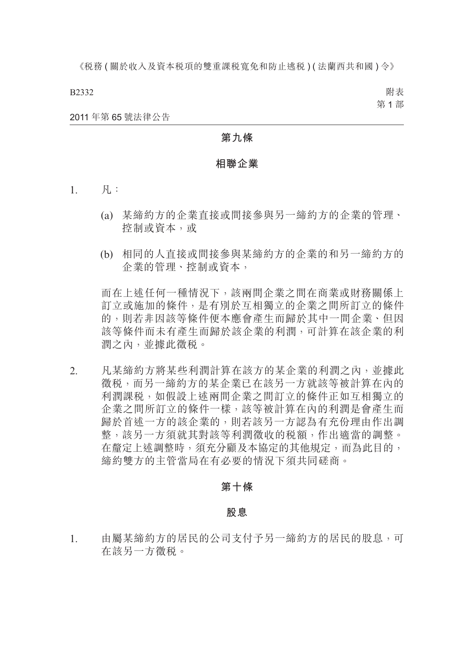B2332

附表 第 1 部

2011 年第 65 號法律公告

### **第九條**

#### **相聯企業**

- $1. \qquad \overline{M}_1$ :
	- (a) 某締約方的企業直接或間接參與另一締約方的企業的管理、 控制或資本,或
	- (b) 相同的人直接或間接參與某締約方的企業的和另一締約方的 企業的管理、控制或資本,

而在上述任何一種情況下,該兩間企業之間在商業或財務關係上 訂立或施加的條件,是有別於互相獨立的企業之間所訂立的條件 的,則若非因該等條件便本應會產生而歸於其中一間企業、但因 該等條件而未有產生而歸於該企業的利潤,可計算在該企業的利 潤之內,並據此徵稅。

2. 凡某締約方將某些利潤計算在該方的某企業的利潤之內,並據此 徵稅,而另一締約方的某企業已在該另一方就該等被計算在內的 利潤課稅,如假設上述兩間企業之間訂立的條件正如互相獨立的 企業之間所訂立的條件一樣,該等被計算在內的利潤是會產生而 歸於首述一方的該企業的,則若該另一方認為有充份理由作出調 整,該另一方須就其對該等利潤徵收的稅額,作出適當的調整。 在釐定上述調整時,須充分顧及本協定的其他規定,而為此目的, 締約雙方的主管當局在有必要的情況下須共同磋商。

### **第十條**

#### **股息**

1. 由屬某締約方的居民的公司支付予另一締約方的居民的股息,可 在該另一方徵稅。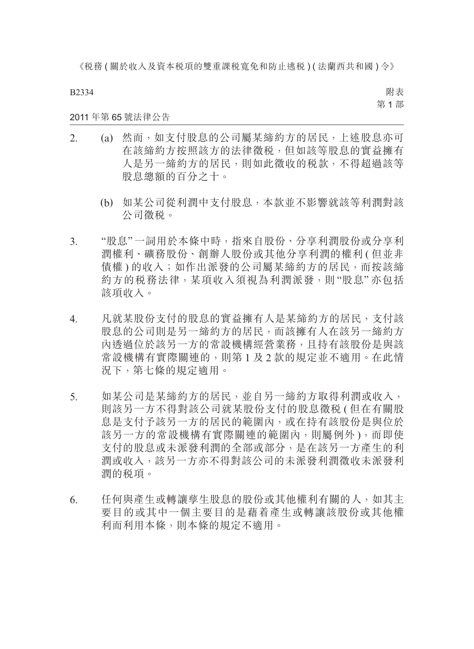B2334

附表 第 1 部

### 2011 年第 65 號法律公告

- 2. (a) 然而,如支付股息的公司屬某締約方的居民,上述股息亦可 在該締約方按照該方的法律徵稅,但如該等股息的實益擁有 人是另一締約方的居民,則如此徵收的稅款,不得超過該等 股息總額的百分之十。
	- (b) 如某公司從利潤中支付股息,本款並不影響就該等利潤對該 公司徵稅。
- 3. "股息"一詞用於本條中時,指來自股份、分享利潤股份或分享利 潤權利、礦務股份、創辦人股份或其他分享利潤的權利 ( 但並非 債權 ) 的收入;如作出派發的公司屬某締約方的居民,而按該締 約方的稅務法律,某項收入須視為利潤派發,則 "股息" 亦包括 該項收入。
- 4. 凡就某股份支付的股息的實益擁有人是某締約方的居民,支付該 股息的公司則是另一締約方的居民,而該擁有人在該另一締約方 內透過位於該另一方的常設機構經營業務,且持有該股份是與該 常設機構有實際關連的,則第 1 及 2 款的規定並不適用。在此情 況下,第七條的規定適用。
- 5. 如某公司是某締約方的居民,並自另一締約方取得利潤或收入, 則該另一方不得對該公司就某股份支付的股息徵稅 ( 但在有關股 息是支付予該另一方的居民的範圍內,或在持有該股份是與位於 該另一方的常設機構有實際關連的範圍內,則屬例外 ),而即使 支付的股息或未派發利潤的全部或部分,是在該另一方產生的利 潤或收入,該另一方亦不得對該公司的未派發利潤徵收未派發利 潤的稅項。
- 6. 任何與產生或轉讓孳生股息的股份或其他權利有關的人,如其主 要目的或其中一個主要目的是藉着產生或轉讓該股份或其他權 利而利用本條,則本條的規定不適用。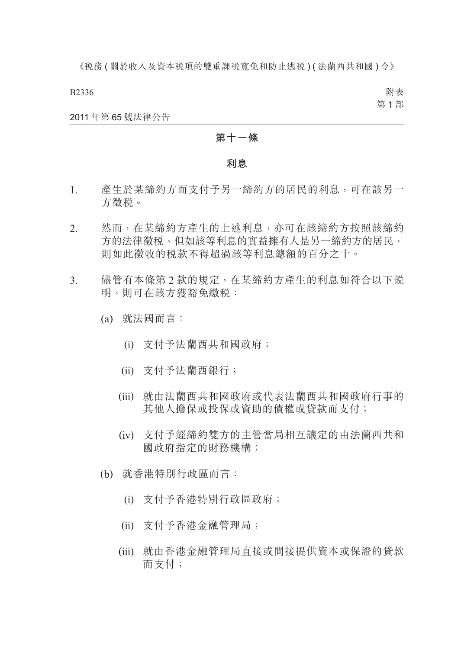B2336

附表 第 1 部

#### 2011 年第 65 號法律公告

### **第十一條**

#### **利息**

- 1. 產生於某締約方而支付予另一締約方的居民的利息,可在該另一 方徵稅。
- 2. 然而,在某締約方產生的上述利息,亦可在該締約方按照該締約 方的法律徵稅,但如該等利息的實益擁有人是另一締約方的居民, 則如此徵收的稅款不得超過該等利息總額的百分之十。
- 3. 儘管有本條第 2 款的規定,在某締約方產生的利息如符合以下說 明,則可在該方獲豁免繳稅:
	- (a) 就法國而言:
		- (i) 支付予法蘭西共和國政府;
		- (ii) 支付予法蘭西銀行;
		- (iii) 就由法蘭西共和國政府或代表法蘭西共和國政府行事的 其他人擔保或投保或資助的債權或貸款而支付;
		- (iv) 支付予經締約雙方的主管當局相互議定的由法蘭西共和 國政府指定的財務機構;
	- (b) 就香港特別行政區而言:
		- (i) 支付予香港特別行政區政府;
		- (ii) 支付予香港金融管理局;
		- (iii) 就由香港金融管理局直接或間接提供資本或保證的貸款 而支付;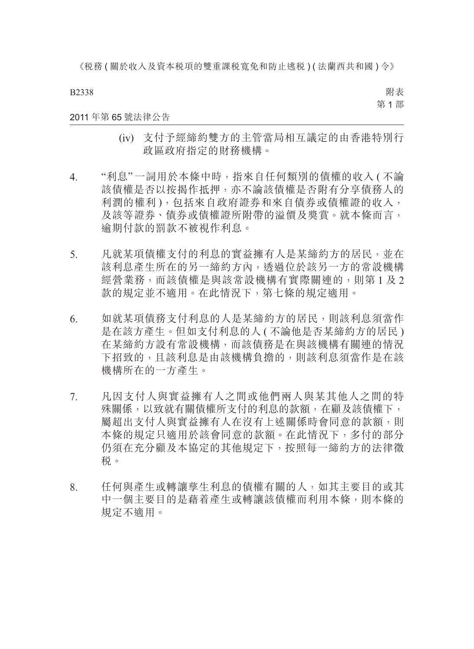B2338

附表 第 1 部

#### 2011 年第 65 號法律公告

- (iv) 支付予經締約雙方的主管當局相互議定的由香港特別行 政區政府指定的財務機構。
- 4. "利息" 一詞用於本條中時,指來自任何類別的債權的收入 ( 不論 該債權是否以按揭作抵押,亦不論該債權是否附有分享債務人的 利潤的權利 ),包括來自政府證券和來自債券或債權證的收入, 及該等證券、債券或債權證所附帶的溢價及獎賞。就本條而言, 逾期付款的罰款不被視作利息。
- 5. 凡就某項債權支付的利息的實益擁有人是某締約方的居民,並在 該利息產生所在的另一締約方內,透過位於該另一方的常設機構 經營業務,而該債權是與該常設機構有實際關連的,則第1及2 款的規定並不適用。在此情況下,第七條的規定適用。
- 6. 如就某項債務支付利息的人是某締約方的居民,則該利息須當作 是在該方產生。但如支付利息的人 ( 不論他是否某締約方的居民 ) 在某締約方設有常設機構,而該債務是在與該機構有關連的情況 下招致的,且該利息是由該機構負擔的,則該利息須當作是在該 機構所在的一方產生。
- 7. 凡因支付人與實益擁有人之間或他們兩人與某其他人之間的特 殊關係,以致就有關債權所支付的利息的款額,在顧及該債權下, 屬超出支付人與實益擁有人在沒有上述關係時會同意的款額,則 本條的規定只適用於該會同意的款額。在此情況下,多付的部分 仍須在充分顧及本協定的其他規定下,按照每一締約方的法律徵 稅。
- 8. 任何與產生或轉讓孳生利息的債權有關的人,如其主要目的或其 中一個主要目的是藉着產生或轉讓該債權而利用本條,則本條的 規定不適用。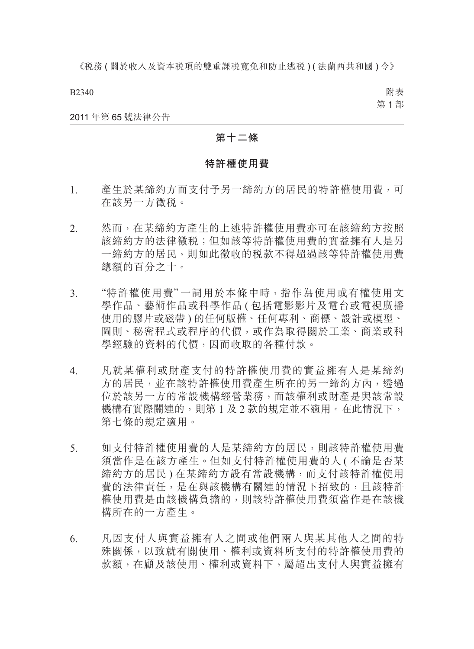B2340

附表 第 1 部

2011 年第 65 號法律公告

### **第十二條**

# **特許權使用費**

- 1. 產生於某締約方而支付予另一締約方的居民的特許權使用費,可 在該另一方徵稅。
- 2. 然而,在某締約方產生的上述特許權使用費亦可在該締約方按照 該締約方的法律徵稅;但如該等特許權使用費的實益擁有人是另 一締約方的居民,則如此徵收的稅款不得超過該等特許權使用費 總額的百分之十。
- 3. "特許權使用費" 一詞用於本條中時,指作為使用或有權使用文 學作品、藝術作品或科學作品 ( 包括電影影片及電台或電視廣播 使用的膠片或磁帶 ) 的任何版權、任何專利、商標、設計或模型、 圖則、秘密程式或程序的代價,或作為取得關於工業、商業或科 學經驗的資料的代價,因而收取的各種付款。
- 4. 凡就某權利或財產支付的特許權使用費的實益擁有人是某締約 方的居民,並在該特許權使用費產生所在的另一締約方內,透過 位於該另一方的常設機構經營業務,而該權利或財產是與該常設 機構有實際關連的,則第 1 及 2 款的規定並不適用。在此情況下, 第七條的規定適用。
- 5. 如支付特許權使用費的人是某締約方的居民,則該特許權使用費 須當作是在該方產生。但如支付特許權使用費的人 ( 不論是否某 締約方的居民 ) 在某締約方設有常設機構,而支付該特許權使用 費的法律責任,是在與該機構有關連的情況下招致的,且該特許 權使用費是由該機構負擔的,則該特許權使用費須當作是在該機 構所在的一方產生。
- 6. 凡因支付人與實益擁有人之間或他們兩人與某其他人之間的特 殊關係,以致就有關使用、權利或資料所支付的特許權使用費的 款額,在顧及該使用、權利或資料下,屬超出支付人與實益擁有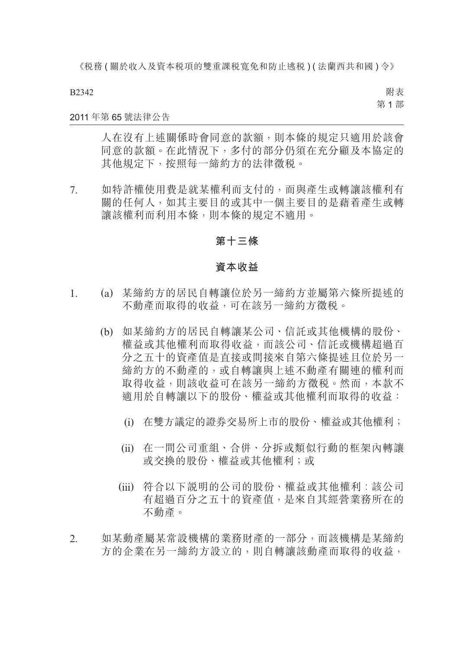#### B2342

附表 第 1 部

### 2011 年第 65 號法律公告

人在沒有上述關係時會同意的款額,則本條的規定只適用於該會 同意的款額。在此情況下,多付的部分仍須在充分顧及本協定的 其他規定下,按照每一締約方的法律徵稅。

7. 如特許權使用費是就某權利而支付的,而與產生或轉讓該權利有 關的任何人,如其主要目的或其中一個主要目的是藉着產生或轉 讓該權利而利用本條,則本條的規定不適用。

### **第十三條**

#### **資本收益**

- 1. (a) 某締約方的居民自轉讓位於另一締約方並屬第六條所提述的 不動產而取得的收益,可在該另一締約方徵稅。
	- (b) 如某締約方的居民自轉讓某公司、信託或其他機構的股份、 權益或其他權利而取得收益,而該公司、信託或機構超過百 分之五十的資產值是直接或間接來自第六條提述且位於另一 締約方的不動產的,或自轉讓與上述不動產有關連的權利而 取得收益,則該收益可在該另一締約方徵税。然而,本款不 適用於自轉讓以下的股份、權益或其他權利而取得的收益:
		- (i) 在雙方議定的證券交易所上市的股份、權益或其他權利;
		- (ii) 在一間公司重組、合併、分拆或類似行動的框架內轉讓 或交換的股份、權益或其他權利;或
		- (iii) 符合以下說明的公司的股份、權益或其他權利︰該公司 有超過百分之五十的資產值,是來自其經營業務所在的 不動產。
- 2. 如某動產屬某常設機構的業務財產的一部分,而該機構是某締約 方的企業在另一締約方設立的,則自轉讓該動產而取得的收益,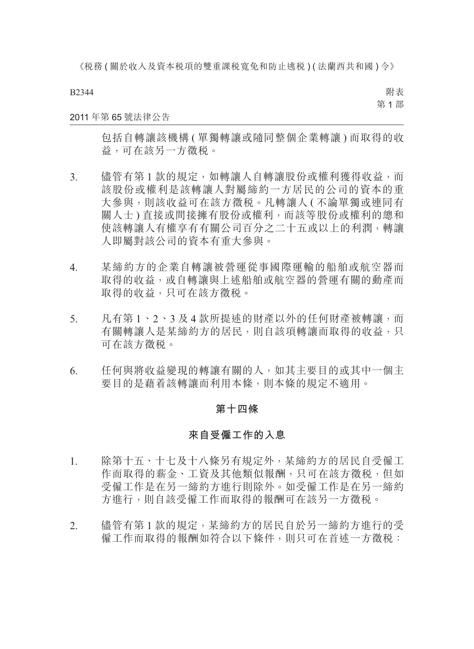#### B2344

附表 第 1 部

#### 2011 年第 65 號法律公告

包括自轉讓該機構 ( 單獨轉讓或隨同整個企業轉讓 ) 而取得的收 益,可在該另一方徵稅。

- 3. 儘管有第 1 款的規定, 如轉讓人自轉讓股份或權利獲得收益, 而 該股份或權利是該轉讓人對屬締約一方居民的公司的資本的重 大參與,則該收益可在該方徵稅。凡轉讓人 ( 不論單獨或連同有 關人士 ) 直接或間接擁有股份或權利,而該等股份或權利的總和 使該轉讓人有權享有有關公司百分之二十五或以上的利潤,轉讓 人即屬對該公司的資本有重大參與。
- 4. 某締約方的企業自轉讓被營運從事國際運輸的船舶或航空器而 取得的收益,或自轉讓與上述船舶或航空器的營運有關的動產而 取得的收益,只可在該方徵税。
- 5. 凡有第 1、2、3 及 4 款所提述的財產以外的任何財產被轉讓,而 有關轉讓人是某締約方的居民,則自該項轉讓而取得的收益,只 可在該方徵稅。
- 6. 任何與將收益變現的轉讓有關的人,如其主要目的或其中一個主 要目的是藉着該轉讓而利用本條,則本條的規定不適用。

#### **第十四條**

#### **來自受僱工作的入息**

- 1. 除第十五、十七及十八條另有規定外,某締約方的居民自受僱工 作而取得的薪金、工資及其他類似報酬,只可在該方徵稅,但如 受僱工作是在另一締約方進行則除外。如受僱工作是在另一締約 方進行,則自該受僱工作而取得的報酬可在該另一方徵稅。
- 2. 儘管有第 1 款的規定,某締約方的居民自於另一締約方進行的受 僱工作而取得的報酬如符合以下條件,則只可在首述一方徵稅: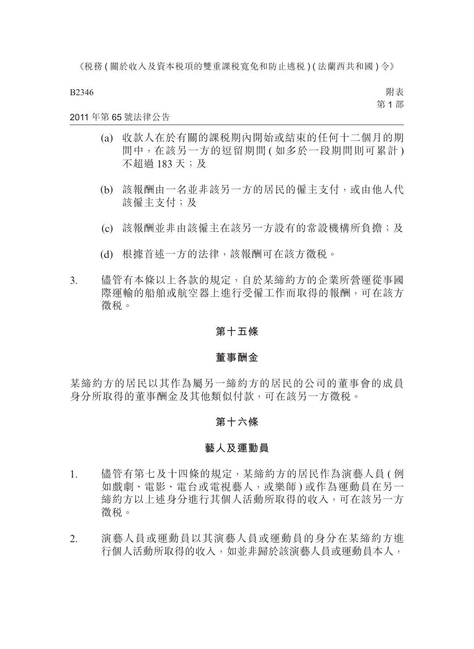B2346

附表 第 1 部

### 2011 年第 65 號法律公告

- (a) 收款人在於有關的課稅期內開始或結束的任何十二個月的期 間中, 在該另一方的逗留期間 ( 如多於一段期間則可累計 ) 不超過 183 天;及
- (b) 該報酬由一名並非該另一方的居民的僱主支付,或由他人代 該僱主支付;及
- (c) 該報酬並非由該僱主在該另一方設有的常設機構所負擔;及
- (d) 根據首述一方的法律,該報酬可在該方徵稅。
- 3. 儘管有本條以上各款的規定,自於某締約方的企業所營運從事國 際運輸的船舶或航空器上進行受僱工作而取得的報酬,可在該方 徵稅。

#### **第十五條**

#### **董事酬金**

某締約方的居民以其作為屬另一締約方的居民的公司的董事會的成員 身分所取得的董事酬金及其他類似付款,可在該另一方徵稅。

#### **第十六條**

#### **藝人及運動員**

- 1. 儘管有第七及十四條的規定,某締約方的居民作為演藝人員 ( 例 如戲劇、電影、電台或電視藝人,或樂師 ) 或作為運動員在另一 締約方以上述身分進行其個人活動所取得的收入,可在該另一方 徵稅。
- 2. 演藝人員或運動員以其演藝人員或運動員的身分在某締約方進 行個人活動所取得的收入,如並非歸於該演藝人員或運動員本人,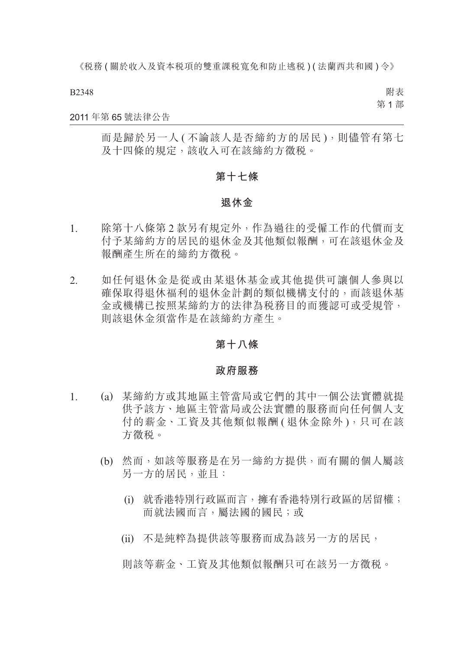B2348

附表 第 1 部

#### 2011 年第 65 號法律公告

而是歸於另一人 ( 不論該人是否締約方的居民 ),則儘管有第七 及十四條的規定,該收入可在該締約方徵税。

#### **第十七條**

### **退休金**

- 1. 除第十八條第 2 款另有規定外,作為過往的受僱工作的代價而支 付予某締約方的居民的退休金及其他類似報酬,可在該退休金及 報酬產生所在的締約方徵稅。
- 2. 如任何退休金是從或由某退休基金或其他提供可讓個人參與以 確保取得退休福利的退休金計劃的類似機構支付的,而該退休基 金或機構已按照某締約方的法律為稅務目的而獲認可或受規管, 則該退休金須當作是在該締約方產生。

### **第十八條**

#### **政府服務**

- 1. (a) 某締約方或其地區主管當局或它們的其中一個公法實體就提 供予該方、地區主管當局或公法實體的服務而向任何個人支 付的薪金、工資及其他類似報酬 ( 退休金除外 ),只可在該 方徵稅。
	- (b) 然而,如該等服務是在另一締約方提供,而有關的個人屬該 另一方的居民,並且:
		- (i) 就香港特別行政區而言,擁有香港特別行政區的居留權; 而就法國而言,屬法國的國民;或
		- (ii) 不是純粹為提供該等服務而成為該另一方的居民,

則該等薪金、工資及其他類似報酬只可在該另一方徵稅。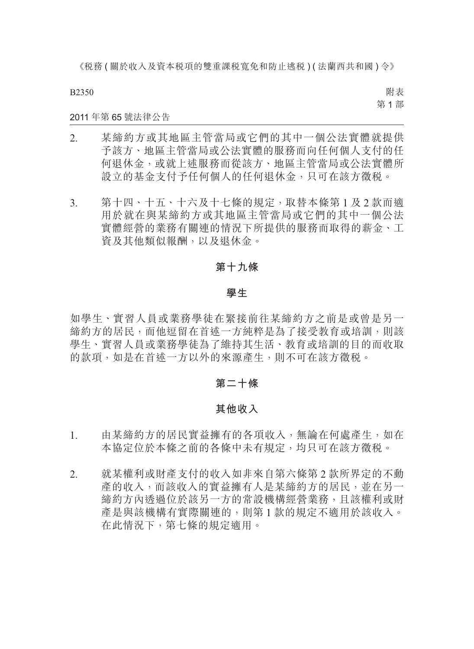B2350

附表 第 1 部

#### 2011 年第 65 號法律公告

- 2. 某締約方或其地區主管當局或它們的其中一個公法實體就提供 予該方、地區主管當局或公法實體的服務而向任何個人支付的任 何退休金,或就上述服務而從該方、地區主管當局或公法實體所 設立的基金支付予任何個人的任何退休金,只可在該方徵稅。
- 3. 第十四、十五、十六及十七條的規定,取替本條第 1 及 2 款而適 用於就在與某締約方或其地區主管當局或它們的其中一個公法 實體經營的業務有關連的情況下所提供的服務而取得的薪金、工 資及其他類似報酬,以及退休金。

### **第十九條**

#### **學生**

如學生、實習人員或業務學徒在緊接前往某締約方之前是或曾是另一 締約方的居民,而他逗留在首述一方純粹是為了接受教育或培訓,則該 學生、實習人員或業務學徒為了維持其生活、教育或培訓的目的而收取 的款項,如是在首述一方以外的來源產生,則不可在該方徵稅。

### **第二十條**

#### **其他收入**

- 1. 由某締約方的居民實益擁有的各項收入,無論在何處產生,如在 本協定位於本條之前的各條中未有規定,均只可在該方徵税。
- 2. 就某權利或財產支付的收入如非來自第六條第 2 款所界定的不動 產的收入,而該收入的實益擁有人是某締約方的居民,並在另一 締約方內透過位於該另一方的常設機構經營業務,且該權利或財 產是與該機構有實際關連的,則第 1 款的規定不適用於該收入。 在此情況下,第七條的規定適用。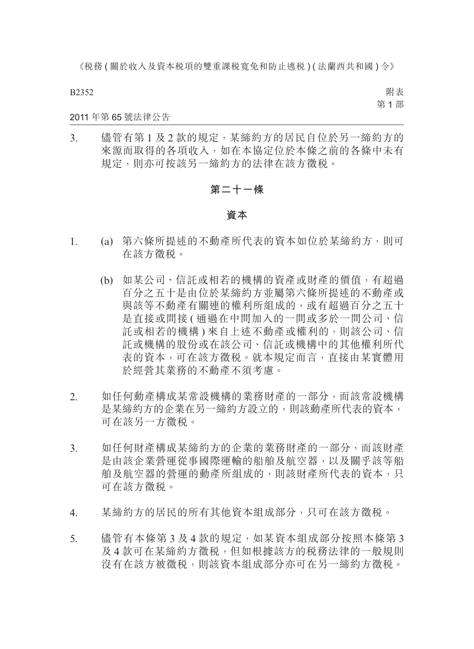B2352

附表 第 1 部

#### 2011 年第 65 號法律公告

3. 儘管有第1及2款的規定,某締約方的居民自位於另一締約方的 來源而取得的各項收入,如在本協定位於本條之前的各條中未有 規定,則亦可按該另一締約方的法律在該方徵稅。

# **第二十一條**

#### **資本**

- 1. (a) 第六條所提述的不動產所代表的資本如位於某締約方,則可 在該方徵稅。
	- (b) 如某公司、信託或相若的機構的資產或財產的價值,有超過 百分之五十是由位於某締約方並屬第六條所提述的不動產或 與該等不動產有關連的權利所組成的,或有超過百分之五十 是直接或間接 ( 通過在中間加入的一間或多於一間公司、信 託或相若的機構 ) 來自上述不動產或權利的,則該公司、信 託或機構的股份或在該公司、信託或機構中的其他權利所代 表的資本,可在該方徵稅。就本規定而言,直接由某實體用 於經營其業務的不動產不須考慮。
- 2. 如任何動產構成某常設機構的業務財產的一部分,而該常設機構 是某締約方的企業在另一締約方設立的,則該動產所代表的資本, 可在該另一方徵稅。
- 3. 如任何財產構成某締約方的企業的業務財產的一部分,而該財產 是由該企業營運從事國際運輸的船舶及航空器,以及關乎該等船 舶及航空器的營運的動產所組成的,則該財產所代表的資本,只 可在該方徵稅。
- 4. 某締約方的居民的所有其他資本組成部分,只可在該方徵稅。
- 5. 儘管有本條第 3 及 4 款的規定,如某資本組成部分按照本條第 3 及 4 款可在某締約方徵稅,但如根據該方的稅務法律的一般規則 沒有在該方被徵稅,則該資本組成部分亦可在另一締約方徵稅。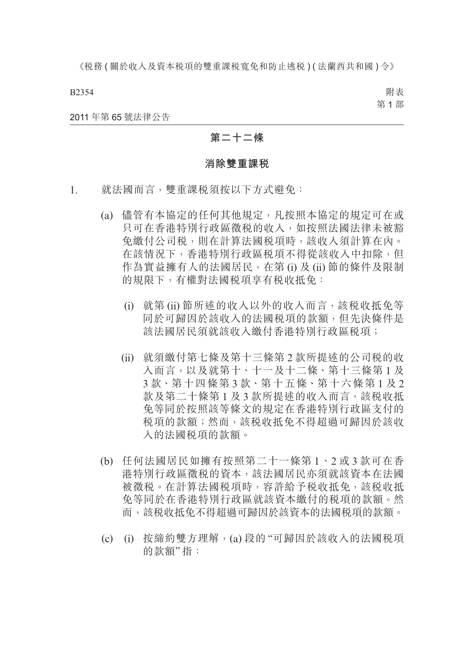B2354

附表 第 1 部

2011 年第 65 號法律公告

### **第二十二條**

#### **消除雙重課稅**

- 1. 就法國而言,雙重課稅須按以下方式避免:
	- (a) 儘管有本協定的任何其他規定,凡按照本協定的規定可在或 只可在香港特別行政區徵稅的收入,如按照法國法律未被豁 免繳付公司稅,則在計算法國稅項時,該收入須計算在內。 在該情況下,香港特別行政區稅項不得從該收入中扣除,但 作為實益擁有人的法國居民,在第 (i) 及 (ii) 節的條件及限制 的規限下,有權對法國税項享有税收抵免:
		- (i) 就第 (ii) 節所述的收入以外的收入而言,該稅收抵免等 同於可歸因於該收入的法國稅項的款額,但先決條件是 該法國居民須就該收入繳付香港特別行政區稅項;
		- (ii) 就須繳付第七條及第十三條第 2 款所提述的公司稅的收 入而言,以及就第十、十一及十二條、第十三條第 1 及 3 款、第十四條第 3 款、第十五條、第十六條第 1 及 2 款及第二十條第1及3款所提述的收入而言,該税收抵 免等同於按照該等條文的規定在香港特別行政區支付的 稅項的款額;然而,該稅收抵免不得超過可歸因於該收 入的法國稅項的款額。
	- (b) 任何法國居民如擁有按照第二十一條第 1、2 或 3 款可在香 港特別行政區徵稅的資本,該法國居民亦須就該資本在法國 被徵稅。在計算法國稅項時,容許給予稅收抵免,該稅收抵 免等同於在香港特別行政區就該資本繳付的稅項的款額。然 而,該稅收抵免不得超過可歸因於該資本的法國稅項的款額。
	- (c) (i) 按締約雙方理解,(a) 段的 "可歸因於該收入的法國稅項 的款額"指: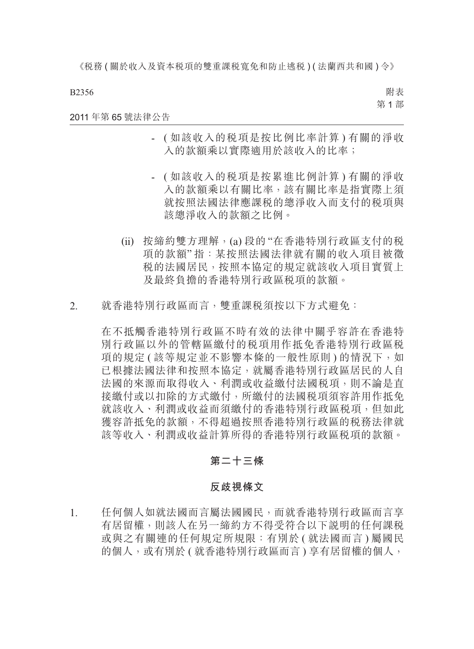B2356

附表 第 1 部

2011 年第 65 號法律公告

- ( 如該收入的稅項是按比例比率計算 ) 有關的淨收 入的款額乘以實際適用於該收入的比率;
- ( 如該收入的稅項是按累進比例計算 ) 有關的淨收 入的款額乘以有關比率,該有關比率是指實際上須 就按照法國法律應課稅的總淨收入而支付的稅項與 該總淨收入的款額之比例。
- (ii) 按締約雙方理解,(a) 段的 "在香港特別行政區支付的稅 項的款額" 指:某按照法國法律就有關的收入項目被徵 稅的法國居民,按照本協定的規定就該收入項目實質上 及最終負擔的香港特別行政區稅項的款額。
- 2. 就香港特別行政區而言,雙重課稅須按以下方式避免:

在不抵觸香港特別行政區不時有效的法律中關乎容許在香港特 別行政區以外的管轄區繳付的稅項用作抵免香港特別行政區稅 項的規定 ( 該等規定並不影響本條的一般性原則 ) 的情況下, 如 已根據法國法律和按照本協定,就屬香港特別行政區居民的人自 法國的來源而取得收入、利潤或收益繳付法國稅項,則不論是直 接繳付或以扣除的方式繳付,所繳付的法國稅項須容許用作抵免 就該收入、利潤或收益而須繳付的香港特別行政區稅項,但如此 獲容許抵免的款額,不得超過按照香港特別行政區的稅務法律就 該等收入、利潤或收益計算所得的香港特別行政區稅項的款額。

### **第二十三條**

#### **反歧視條文**

1. 任何個人如就法國而言屬法國國民,而就香港特別行政區而言享 有居留權,則該人在另一締約方不得受符合以下說明的任何課稅 或與之有關連的任何規定所規限:有別於 ( 就法國而言 ) 屬國民 的個人,或有別於(就香港特別行政區而言)享有居留權的個人,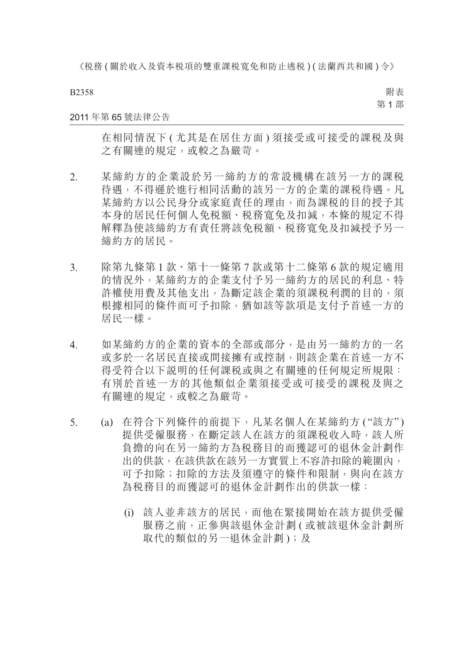B2358

附表 第 1 部

#### 2011 年第 65 號法律公告

在相同情況下 ( 尤其是在居住方面 ) 須接受或可接受的課稅及與 之有關連的規定,或較之為嚴苛。

- 2. 某締約方的企業設於另一締約方的常設機構在該另一方的課稅 待遇,不得遜於進行相同活動的該另一方的企業的課稅待遇。凡 某締約方以公民身分或家庭責任的理由,而為課稅的目的授予其 本身的居民任何個人免稅額、稅務寬免及扣減,本條的規定不得 解釋為使該締約方有責任將該免稅額、稅務寬免及扣減授予另一 締約方的居民。
- 3. 除第九條第 1 款、第十一條第 7 款或第十二條第 6 款的規定適用 的情況外,某締約方的企業支付予另一締約方的居民的利息、特 許權使用費及其他支出,為斷定該企業的須課稅利潤的目的,須 根據相同的條件而可予扣除,猶如該等款項是支付予首述一方的 居民一樣。
- 4. 如某締約方的企業的資本的全部或部分,是由另一締約方的一名 或多於一名居民直接或間接擁有或控制,則該企業在首述一方不 得受符合以下說明的任何課稅或與之有關連的任何規定所規限: 有別於首述一方的其他類似企業須接受或可接受的課稅及與之 有關連的規定,或較之為嚴苛。
- 5. (a) 在符合下列條件的前提下,凡某名個人在某締約方 ("該方") 提供受僱服務,在斷定該人在該方的須課稅收入時,該人所 負擔的向在另一締約方為稅務目的而獲認可的退休金計劃作 出的供款,在該供款在該另一方實質上不容許扣除的範圍內, 可予扣除;扣除的方法及須遵守的條件和限制,與向在該方 為稅務目的而獲認可的退休金計劃作出的供款一樣:
	- (i) 該人並非該方的居民,而他在緊接開始在該方提供受僱 服務之前,正參與該退休金計劃(或被該退休金計劃所 取代的類似的另一退休金計劃);及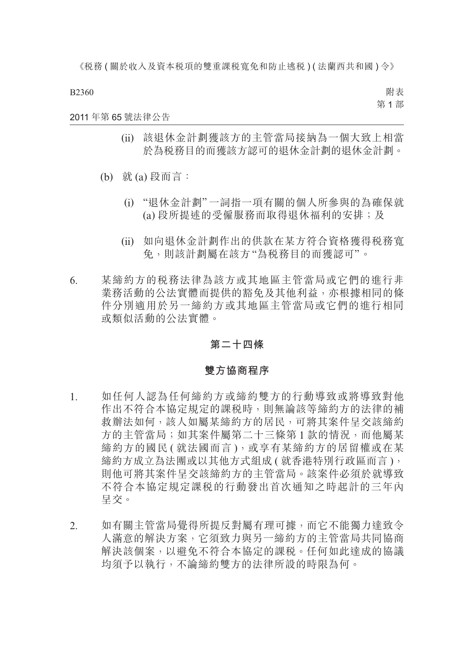B2360

附表 第 1 部

#### 2011 年第 65 號法律公告

- (ii) 該退休金計劃獲該方的主管當局接納為一個大致上相當 於為稅務目的而獲該方認可的退休金計劃的退休金計劃。
- (b) 就 (a) 段而言:
	- (i) "退休金計劃"一詞指一項有關的個人所參與的為確保就 (a) 段所提述的受僱服務而取得退休福利的安排;及
	- (ii) 如向退休金計劃作出的供款在某方符合資格獲得稅務寬 免,則該計劃屬在該方"為稅務目的而獲認可"。
- 6. 某締約方的稅務法律為該方或其地區主管當局或它們的進行非 業務活動的公法實體而提供的豁免及其他利益,亦根據相同的條 件分別適用於另一締約方或其地區主管當局或它們的進行相同 或類似活動的公法實體。

### **第二十四條**

#### **雙方協商程序**

- 1. 如任何人認為任何締約方或締約雙方的行動導致或將導致對他 作出不符合本協定規定的課稅時,則無論該等締約方的法律的補 救辦法如何,該人如屬某締約方的居民,可將其案件呈交該締約 方的主管當局;如其案件屬第二十三條第1款的情況,而他屬某 締約方的國民 ( 就法國而言 ), 或享有某締約方的居留權或在某 締約方成立為法團或以其他方式組成 ( 就香港特別行政區而言 ), 則他可將其案件呈交該締約方的主管當局。該案件必須於就導致 不符合本協定規定課稅的行動發出首次通知之時起計的三年內 呈交。
- 2. 如有關主管當局覺得所提反對屬有理可據,而它不能獨力達致令 人滿意的解決方案,它須致力與另一締約方的主管當局共同協商 解決該個案,以避免不符合本協定的課稅。任何如此達成的協議 均須予以執行,不論締約雙方的法律所設的時限為何。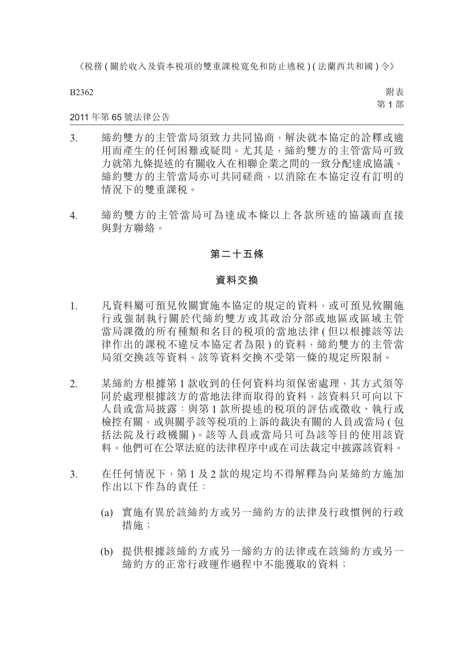B2362

附表 第 1 部

### 2011 年第 65 號法律公告

- 3. 締約雙方的主管當局須致力共同協商,解決就本協定的詮釋或適 用而產生的任何困難或疑問。尤其是,締約雙方的主管當局可致 力就第九條提述的有關收入在相聯企業之間的一致分配達成協議。 締約雙方的主管當局亦可共同磋商,以消除在本協定沒有訂明的 情況下的雙重課稅。
- 4. 締約雙方的主管當局可為達成本條以上各款所述的協議而直接 與對方聯絡。

### **第二十五條**

#### **資料交換**

- 1. 凡資料屬可預見攸關實施本協定的規定的資料,或可預見攸關施 行或強制執行關於代締約雙方或其政治分部或地區或區域主管 當局課徵的所有種類和名目的税項的當地法律 ( 但以根據該等法 律作出的課税不違反本協定者為限)的資料,締約雙方的主管當 局須交換該等資料。該等資料交換不受第一條的規定所限制。
- 2. 某締約方根據第 1 款收到的任何資料均須保密處理,其方式須等 同於處理根據該方的當地法律而取得的資料,該資料只可向以下 人員或當局披露:與第 1 款所提述的稅項的評估或徵收、執行或 檢控有關,或與關乎該等稅項的上訴的裁決有關的人員或當局 ( 包 括法院及行政機關 )。該等人員或當局只可為該等目的使用該資 料。他們可在公眾法庭的法律程序中或在司法裁定中披露該資料。
- 3. 在任何情況下,第 1 及 2 款的規定均不得解釋為向某締約方施加 作出以下作為的責任:
	- (a) 實施有異於該締約方或另一締約方的法律及行政慣例的行政 措施;
	- (b) 提供根據該締約方或另一締約方的法律或在該締約方或另一 締約方的正常行政運作過程中不能獲取的資料;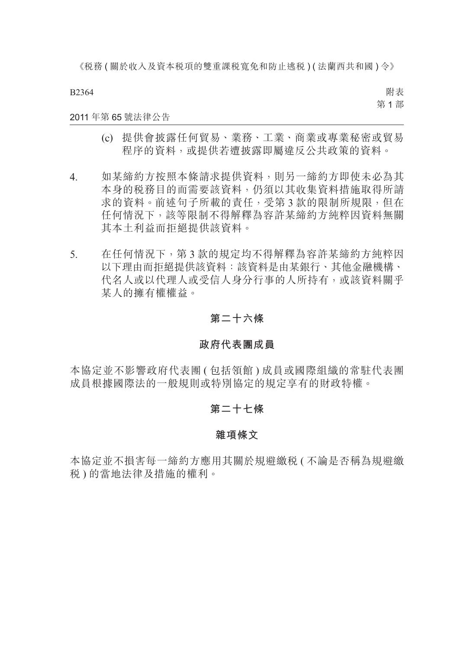B2364

附表 第 1 部

### 2011 年第 65 號法律公告

- (c) 提供會披露任何貿易、業務、工業、商業或專業秘密或貿易 程序的資料,或提供若遭披露即屬違反公共政策的資料。
- 4. 如某締約方按照本條請求提供資料,則另一締約方即使未必為其 本身的稅務目的而需要該資料,仍須以其收集資料措施取得所請 求的資料。前述句子所載的責任,受第 3 款的限制所規限, 但在 任何情況下,該等限制不得解釋為容許某締約方純粹因資料無關 其本土利益而拒絕提供該資料。
- 5. 在任何情況下,第 3 款的規定均不得解釋為容許某締約方純粹因 以下理由而拒絕提供該資料:該資料是由某銀行、其他金融機構、 代名人或以代理人或受信人身分行事的人所持有,或該資料關乎 某人的擁有權權益。

### **第二十六條**

#### **政府代表團成員**

本協定並不影響政府代表團 ( 包括領館 ) 成員或國際組織的常駐代表團 成員根據國際法的一般規則或特別協定的規定享有的財政特權。

### **第二十七條**

#### **雜項條文**

本協定並不損害每一締約方應用其關於規避繳稅 ( 不論是否稱為規避繳 稅 ) 的當地法律及措施的權利。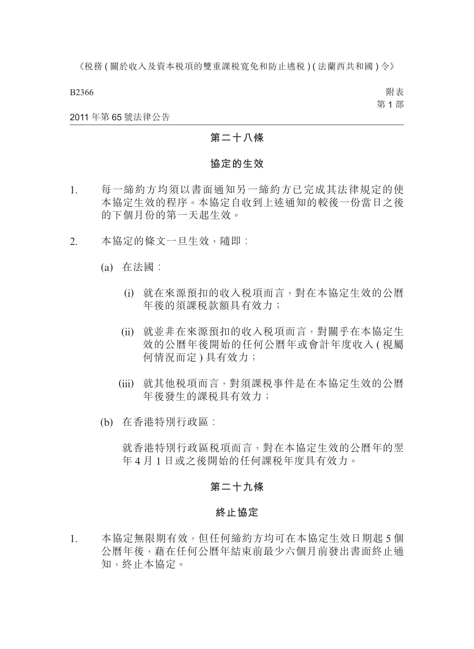B2366

附表 第 1 部

#### 2011 年第 65 號法律公告

### **第二十八條**

#### **協定的生效**

- 1. 每一締約方均須以書面通知另一締約方已完成其法律規定的使 本協定生效的程序。本協定自收到上述通知的較後一份當日之後 的下個月份的第一天起生效。
- 2. 本協定的條文一旦生效,隨即:
	- (a) 在法國︰
		- (i) 就在來源預扣的收入稅項而言,對在本協定生效的公曆 年後的須課稅款額具有效力;
		- (ii) 就並非在來源預扣的收入稅項而言,對關乎在本協定生 效的公曆年後開始的任何公曆年或會計年度收入(視屬 何情況而定 ) 具有效力;
		- (iii) 就其他稅項而言,對須課稅事件是在本協定生效的公曆 年後發生的課稅具有效力;
	- (b) 在香港特別行政區︰

就香港特別行政區稅項而言,對在本協定生效的公曆年的翌 年 4 月 1 日或之後開始的任何課稅年度具有效力。

### **第二十九條**

#### **終止協定**

1. 本協定無限期有效,但任何締約方均可在本協定生效日期起 5 個 公曆年後,藉在任何公曆年結束前最少六個月前發出書面終止通 知,終止本協定。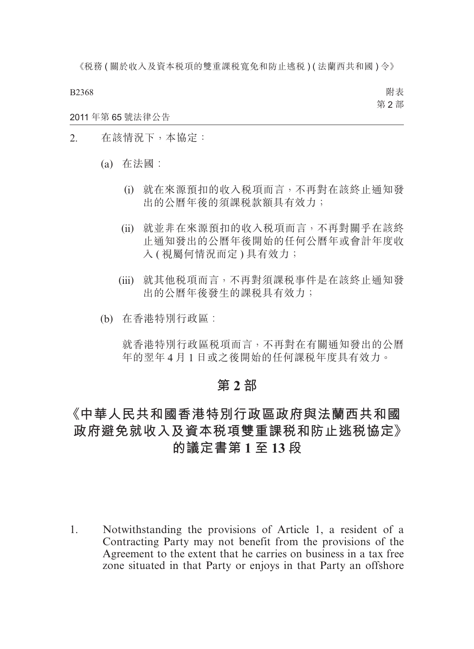B2368

附表 第 2 部

2011 年第 65 號法律公告

- 2. 在該情況下,本協定:
	- (a) 在法國︰
		- (i) 就在來源預扣的收入稅項而言,不再對在該終止通知發 出的公曆年後的須課稅款額具有效力;
		- (ii) 就並非在來源預扣的收入稅項而言,不再對關乎在該終 止通知發出的公曆年後開始的任何公曆年或會計年度收 入 ( 視屬何情況而定 ) 具有效力;
		- (iii) 就其他稅項而言,不再對須課稅事件是在該終止通知發 出的公曆年後發生的課稅具有效力;
	- (b) 在香港特別行政區︰

就香港特別行政區稅項而言,不再對在有關通知發出的公曆 年的翌年 4 月 1 日或之後開始的任何課稅年度具有效力。

# **第 2 部**

# **《中華人民共和國香港特別行政區政府與法蘭西共和國 政府避免就收入及資本稅項雙重課稅和防止逃稅協定》 的議定書第 1 至 13 段**

1. Notwithstanding the provisions of Article 1, a resident of a Contracting Party may not benefit from the provisions of the Agreement to the extent that he carries on business in a tax free zone situated in that Party or enjoys in that Party an offshore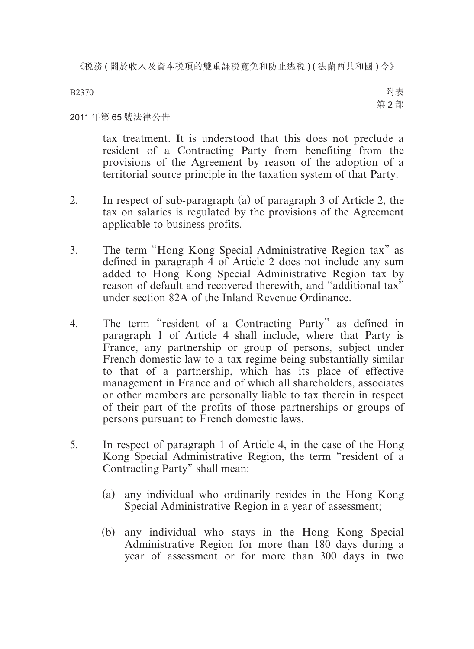B2370

附表 第 2 部

### 2011 年第 65 號法律公告

tax treatment. It is understood that this does not preclude a resident of a Contracting Party from benefiting from the provisions of the Agreement by reason of the adoption of a territorial source principle in the taxation system of that Party.

- 2. In respect of sub-paragraph (a) of paragraph 3 of Article 2, the tax on salaries is regulated by the provisions of the Agreement applicable to business profits.
- 3. The term "Hong Kong Special Administrative Region tax" as defined in paragraph 4 of Article 2 does not include any sum added to Hong Kong Special Administrative Region tax by reason of default and recovered therewith, and "additional tax" under section 82A of the Inland Revenue Ordinance.
- 4. The term "resident of a Contracting Party" as defined in paragraph 1 of Article 4 shall include, where that Party is France, any partnership or group of persons, subject under French domestic law to a tax regime being substantially similar to that of a partnership, which has its place of effective management in France and of which all shareholders, associates or other members are personally liable to tax therein in respect of their part of the profits of those partnerships or groups of persons pursuant to French domestic laws.
- 5. In respect of paragraph 1 of Article 4, in the case of the Hong Kong Special Administrative Region, the term "resident of a Contracting Party" shall mean:
	- (a) any individual who ordinarily resides in the Hong Kong Special Administrative Region in a year of assessment;
	- (b) any individual who stays in the Hong Kong Special Administrative Region for more than 180 days during a year of assessment or for more than 300 days in two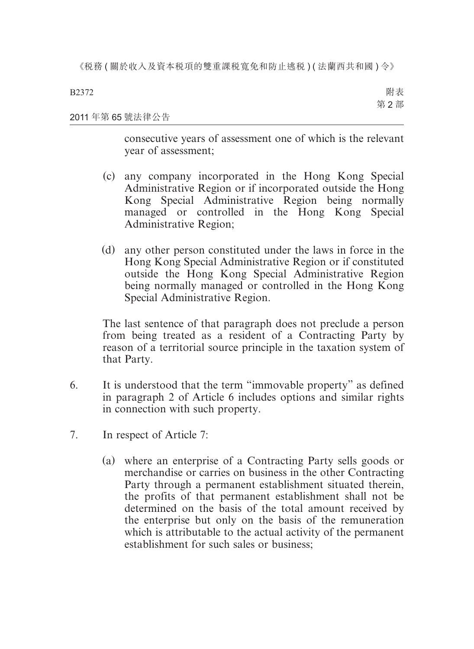2011 年第 65 號法律公告 附表 第 2 部

> consecutive years of assessment one of which is the relevant year of assessment;

- (c) any company incorporated in the Hong Kong Special Administrative Region or if incorporated outside the Hong Kong Special Administrative Region being normally managed or controlled in the Hong Kong Special Administrative Region;
- (d) any other person constituted under the laws in force in the Hong Kong Special Administrative Region or if constituted outside the Hong Kong Special Administrative Region being normally managed or controlled in the Hong Kong Special Administrative Region.

The last sentence of that paragraph does not preclude a person from being treated as a resident of a Contracting Party by reason of a territorial source principle in the taxation system of that Party.

- 6. It is understood that the term "immovable property" as defined in paragraph 2 of Article 6 includes options and similar rights in connection with such property.
- 7. In respect of Article 7:
	- (a) where an enterprise of a Contracting Party sells goods or merchandise or carries on business in the other Contracting Party through a permanent establishment situated therein, the profits of that permanent establishment shall not be determined on the basis of the total amount received by the enterprise but only on the basis of the remuneration which is attributable to the actual activity of the permanent establishment for such sales or business;

B2372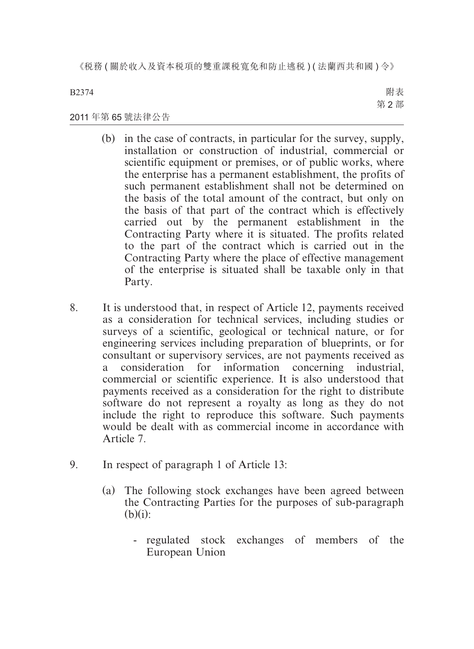B2374

附表 第 2 部

### 2011 年第 65 號法律公告

- (b) in the case of contracts, in particular for the survey, supply, installation or construction of industrial, commercial or scientific equipment or premises, or of public works, where the enterprise has a permanent establishment, the profits of such permanent establishment shall not be determined on the basis of the total amount of the contract, but only on the basis of that part of the contract which is effectively carried out by the permanent establishment in the Contracting Party where it is situated. The profits related to the part of the contract which is carried out in the Contracting Party where the place of effective management of the enterprise is situated shall be taxable only in that Party.
- 8. It is understood that, in respect of Article 12, payments received as a consideration for technical services, including studies or surveys of a scientific, geological or technical nature, or for engineering services including preparation of blueprints, or for consultant or supervisory services, are not payments received as a consideration for information concerning industrial, commercial or scientific experience. It is also understood that payments received as a consideration for the right to distribute software do not represent a royalty as long as they do not include the right to reproduce this software. Such payments would be dealt with as commercial income in accordance with Article 7.
- 9. In respect of paragraph 1 of Article 13:
	- (a) The following stock exchanges have been agreed between the Contracting Parties for the purposes of sub-paragraph  $(b)(i)$ :
		- regulated stock exchanges of members of the European Union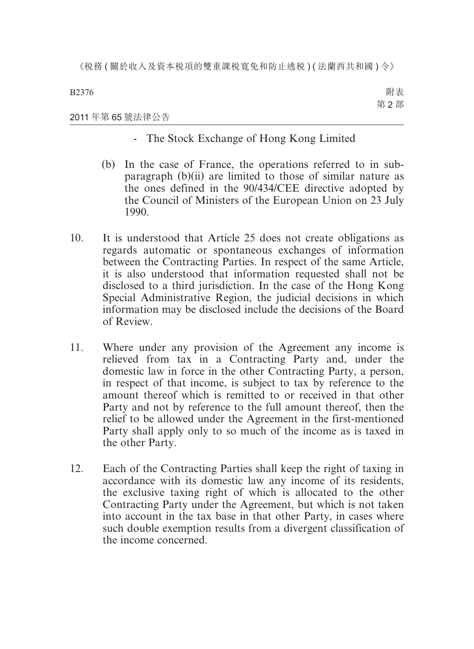B2376

附表 第 2 部

### 2011 年第 65 號法律公告

- The Stock Exchange of Hong Kong Limited
- (b) In the case of France, the operations referred to in subparagraph (b)(ii) are limited to those of similar nature as the ones defined in the 90/434/CEE directive adopted by the Council of Ministers of the European Union on 23 July 1990.
- 10. It is understood that Article 25 does not create obligations as regards automatic or spontaneous exchanges of information between the Contracting Parties. In respect of the same Article, it is also understood that information requested shall not be disclosed to a third jurisdiction. In the case of the Hong Kong Special Administrative Region, the judicial decisions in which information may be disclosed include the decisions of the Board of Review.
- 11. Where under any provision of the Agreement any income is relieved from tax in a Contracting Party and, under the domestic law in force in the other Contracting Party, a person, in respect of that income, is subject to tax by reference to the amount thereof which is remitted to or received in that other Party and not by reference to the full amount thereof, then the relief to be allowed under the Agreement in the first-mentioned Party shall apply only to so much of the income as is taxed in the other Party.
- 12. Each of the Contracting Parties shall keep the right of taxing in accordance with its domestic law any income of its residents, the exclusive taxing right of which is allocated to the other Contracting Party under the Agreement, but which is not taken into account in the tax base in that other Party, in cases where such double exemption results from a divergent classification of the income concerned.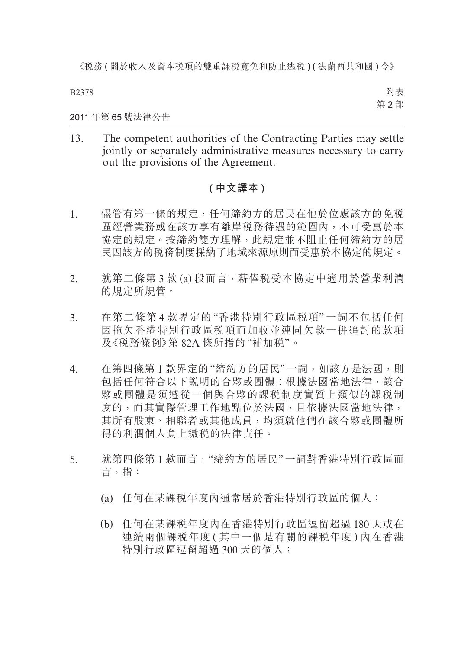B2378

附表 第 2 部

2011 年第 65 號法律公告

13. The competent authorities of the Contracting Parties may settle jointly or separately administrative measures necessary to carry out the provisions of the Agreement.

# **( 中文譯本 )**

- 1. 儘管有第一條的規定,任何締約方的居民在他於位處該方的免税 區經營業務或在該方享有離岸稅務待遇的範圍內,不可受惠於本 協定的規定。按締約雙方理解,此規定並不阻止任何締約方的居 民因該方的稅務制度採納了地域來源原則而受惠於本協定的規定。
- 2. 就第二條第 3 款 (a) 段而言,薪俸稅受本協定中適用於營業利潤 的規定所規管。
- 3. 在第二條第 4 款界定的 "香港特別行政區稅項" 一詞不包括任何 因拖欠香港特別行政區稅項而加收並連同欠款一併追討的款項 及《稅務條例》第 82A 條所指的"補加稅"。
- 4. 在第四條第1款界定的"締約方的居民"一詞,如該方是法國,則 包括任何符合以下說明的合夥或團體︰根據法國當地法律,該合 夥或團體是須遵從一個與合夥的課稅制度實質上類似的課稅制 度的,而其實際管理工作地點位於法國,且依據法國當地法律, 其所有股東、相聯者或其他成員,均須就他們在該合夥或團體所 得的利潤個人負上繳稅的法律責任。
- 5. 就第四條第 1 款而言,"締約方的居民"一詞對香港特別行政區而 言,指:
	- (a) 任何在某課稅年度內通常居於香港特別行政區的個人;
	- (b) 任何在某課稅年度內在香港特別行政區逗留超過 180 天或在 連續兩個課稅年度 ( 其中一個是有關的課稅年度 ) 內在香港 特別行政區短留超過 300 天的個人;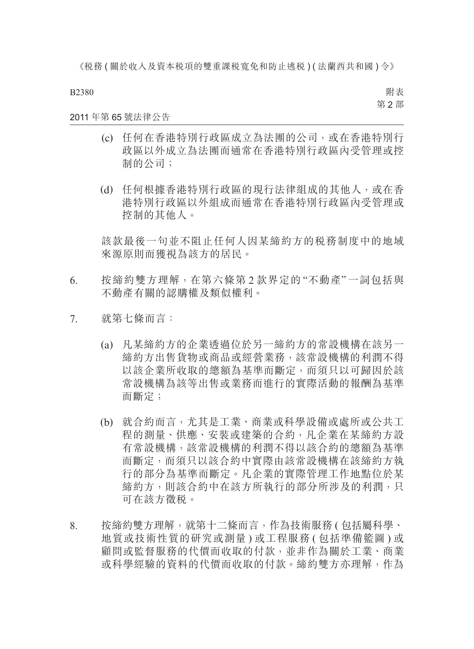B2380

附表 第 2 部

### 2011 年第 65 號法律公告

- (c) 任何在香港特別行政區成立為法團的公司,或在香港特別行 政區以外成立為法團而通常在香港特別行政區內受管理或控 制的公司;
- (d) 任何根據香港特別行政區的現行法律組成的其他人,或在香 港特別行政區以外組成而通常在香港特別行政區內受管理或 控制的其他人。

該款最後一句並不阻止任何人因某締約方的稅務制度中的地域 來源原則而獲視為該方的居民。

- 6. 按締約雙方理解,在第六條第 2 款界定的 "不動產" 一詞包括與 不動產有關的認購權及類似權利。
- 7. 就第七條而言:
	- (a) 凡某締約方的企業透過位於另一締約方的常設機構在該另一 締約方出售貨物或商品或經營業務,該常設機構的利潤不得 以該企業所收取的總額為基準而斷定,而須只以可歸因於該 常設機構為該等出售或業務而進行的實際活動的報酬為基準 而斷定;
	- (b) 就合約而言,尤其是工業、商業或科學設備或處所或公共工 程的測量、供應、安裝或建築的合約,凡企業在某締約方設 有常設機構,該常設機構的利潤不得以該合約的總額為基準 而斷定,而須只以該合約中實際由該常設機構在該締約方執 行的部分為基準而斷定。凡企業的實際管理工作地點位於某 締約方,則該合約中在該方所執行的部分所涉及的利潤,只 可在該方徵稅。
- 8. 按締約雙方理解,就第十二條而言,作為技術服務 ( 包括屬科學、 地質或技術性質的研究或測量 ) 或工程服務 ( 包括準備籃圖 ) 或 顧問或監督服務的代價而收取的付款,並非作為關於工業、商業 或科學經驗的資料的代價而收取的付款。締約雙方亦理解,作為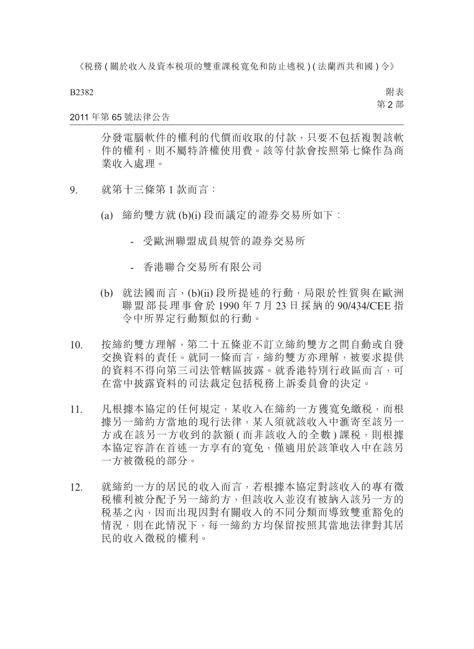B2382

附表 第 2 部

#### 2011 年第 65 號法律公告

分發電腦軟件的權利的代價而收取的付款,只要不包括複製該軟 件的權利,則不屬特許權使用費。該等付款會按照第七條作為商 業收入處理。

- 9. 就第十三條第 1 款而言:
	- (a) 締約雙方就 (b)(i) 段而議定的證券交易所如下︰
		- 受歐洲聯盟成員規管的證券交易所
		- 香港聯合交易所有限公司
	- (b) 就法國而言,(b)(ii) 段所提述的行動,局限於性質與在歐洲 聯盟部長理事會於 1990 年 7 月 23 日採納的 90/434/CEE 指 令中所界定行動類似的行動。
- 10. 按締約雙方理解,第二十五條並不訂立締約雙方之間自動或自發 交換資料的責任。就同一條而言,締約雙方亦理解,被要求提供 的資料不得向第三司法管轄區披露。就香港特別行政區而言,可 在當中披露資料的司法裁定包括稅務上訴委員會的決定。
- 11. 凡根據本協定的任何規定,某收入在締約一方獲寬免繳稅,而根 據另一締約方當地的現行法律,某人須就該收入中滙寄至該另一 方或在該另一方收到的款額 ( 而非該收入的全數 ) 課税, 則根據 本協定容許在首述一方享有的寬免,僅適用於該筆收入中在該另 一方被徵稅的部分。
- 12. 就締約一方的居民的收入而言,若根據本協定對該收入的專有徵 稅權利被分配予另一締約方,但該收入並沒有被納入該另一方的 稅基之內,因而出現因對有關收入的不同分類而導致雙重豁免的 情況,則在此情況下,每一締約方均保留按照其當地法律對其居 民的收入徵稅的權利。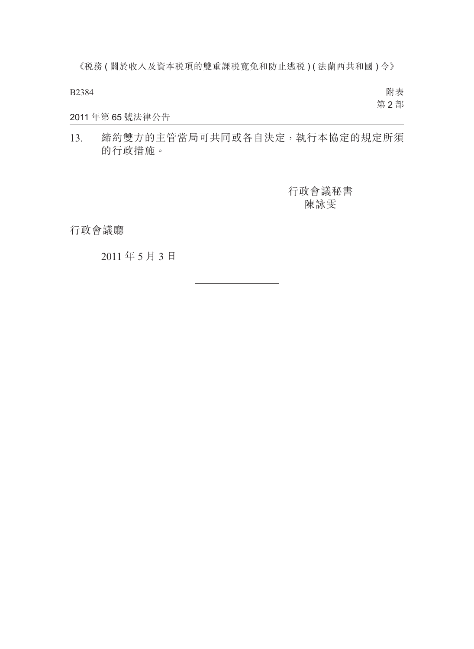B2384

附表 第 2 部

## 2011 年第 65 號法律公告

13. 締約雙方的主管當局可共同或各自決定,執行本協定的規定所須 的行政措施。

> 行政會議秘書 陳詠雯

行政會議廳

2011 年 5 月 3 日